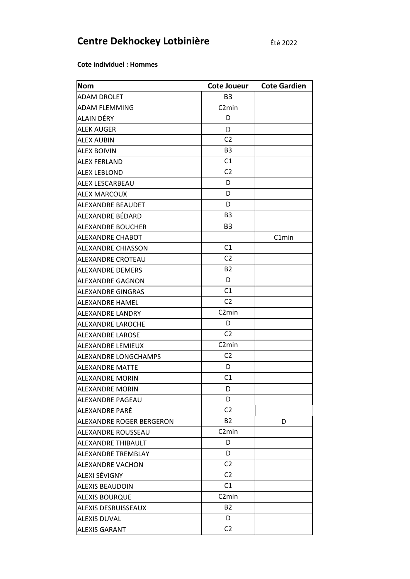## Centre Dekhockey Lotbinière

**Cote individuel : Hommes** 

| <b>Nom</b>                 | Cote Joueur        | <b>Cote Gardien</b> |
|----------------------------|--------------------|---------------------|
| ADAM DROLET                | B <sub>3</sub>     |                     |
| <b>ADAM FLEMMING</b>       | C <sub>2</sub> min |                     |
| ALAIN DÉRY                 | D                  |                     |
| <b>ALEK AUGER</b>          | D                  |                     |
| <b>ALEX AUBIN</b>          | C <sub>2</sub>     |                     |
| <b>ALEX BOIVIN</b>         | B <sub>3</sub>     |                     |
| <b>ALEX FERLAND</b>        | C1                 |                     |
| <b>ALEX LEBLOND</b>        | C <sub>2</sub>     |                     |
| ALEX LESCARBEAU            | D                  |                     |
| <b>ALEX MARCOUX</b>        | D                  |                     |
| ALEXANDRE BEAUDET          | D                  |                     |
| ALEXANDRE BÉDARD           | B <sub>3</sub>     |                     |
| <b>ALEXANDRE BOUCHER</b>   | B <sub>3</sub>     |                     |
| ALEXANDRE CHABOT           |                    | C1min               |
| <b>ALEXANDRE CHIASSON</b>  | C1                 |                     |
| ALEXANDRE CROTEAU          | C <sub>2</sub>     |                     |
| <b>ALEXANDRE DEMERS</b>    | <b>B2</b>          |                     |
| ALEXANDRE GAGNON           | D                  |                     |
| ALEXANDRE GINGRAS          | C <sub>1</sub>     |                     |
| ALEXANDRE HAMEL            | C <sub>2</sub>     |                     |
| ALEXANDRE LANDRY           | C <sub>2</sub> min |                     |
| ALEXANDRE LAROCHE          | D                  |                     |
| <b>ALEXANDRE LAROSE</b>    | C <sub>2</sub>     |                     |
| ALEXANDRE LEMIEUX          | C <sub>2</sub> min |                     |
| ALEXANDRE LONGCHAMPS       | C <sub>2</sub>     |                     |
| <b>ALEXANDRE MATTE</b>     | D                  |                     |
| <b>ALEXANDRE MORIN</b>     | C <sub>1</sub>     |                     |
| <b>ALEXANDRE MORIN</b>     | D                  |                     |
| <b>ALEXANDRE PAGEAU</b>    | D                  |                     |
| ALEXANDRE PARÉ             | C <sub>2</sub>     |                     |
| ALEXANDRE ROGER BERGERON   | <b>B2</b>          | D                   |
| ALEXANDRE ROUSSEAU         | C <sub>2</sub> min |                     |
| ALEXANDRE THIBAULT         | D                  |                     |
| ALEXANDRE TREMBLAY         | D                  |                     |
| <b>ALEXANDRE VACHON</b>    | C <sub>2</sub>     |                     |
| ALEXI SÉVIGNY              | C <sub>2</sub>     |                     |
| <b>ALEXIS BEAUDOIN</b>     | C1                 |                     |
| <b>ALEXIS BOURQUE</b>      | C <sub>2</sub> min |                     |
| <b>ALEXIS DESRUISSEAUX</b> | <b>B2</b>          |                     |
| <b>ALEXIS DUVAL</b>        | D                  |                     |
| <b>ALEXIS GARANT</b>       | C <sub>2</sub>     |                     |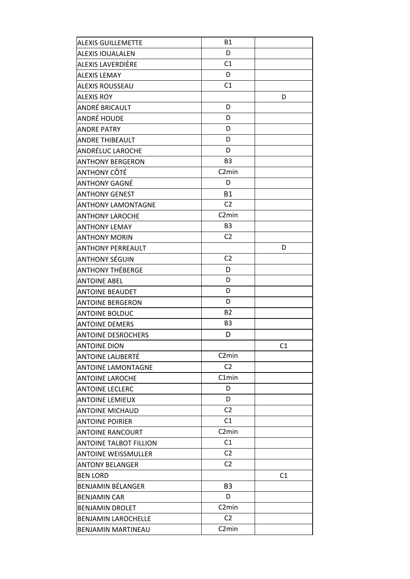| <b>ALEXIS GUILLEMETTE</b>     | <b>B1</b>          |    |
|-------------------------------|--------------------|----|
| <b>ALEXIS IOUALALEN</b>       | D                  |    |
| ALEXIS LAVERDIÈRE             | C1                 |    |
| ALEXIS LEMAY                  | D                  |    |
| <b>ALEXIS ROUSSEAU</b>        | C1                 |    |
| <b>ALEXIS ROY</b>             |                    | D  |
| ANDRÉ BRICAULT                | D                  |    |
| ANDRÉ HOUDE                   | D                  |    |
| <b>ANDRE PATRY</b>            | D                  |    |
| <b>ANDRE THIBEAULT</b>        | D                  |    |
| ANDRÉLUC LAROCHE              | D                  |    |
| <b>ANTHONY BERGERON</b>       | B <sub>3</sub>     |    |
| ANTHONY CÔTÉ                  | C <sub>2</sub> min |    |
| ANTHONY GAGNÉ                 | D                  |    |
| <b>ANTHONY GENEST</b>         | <b>B1</b>          |    |
| <b>ANTHONY LAMONTAGNE</b>     | C <sub>2</sub>     |    |
| <b>ANTHONY LAROCHE</b>        | C <sub>2</sub> min |    |
| <b>ANTHONY LEMAY</b>          | B <sub>3</sub>     |    |
| <b>ANTHONY MORIN</b>          | C <sub>2</sub>     |    |
| <b>ANTHONY PERREAULT</b>      |                    | D  |
| <b>ANTHONY SÉGUIN</b>         | C <sub>2</sub>     |    |
| ANTHONY THÉBERGE              | D                  |    |
| <b>ANTOINE ABEL</b>           | D                  |    |
| <b>ANTOINE BEAUDET</b>        | D                  |    |
| <b>ANTOINE BERGERON</b>       | D                  |    |
| <b>ANTOINE BOLDUC</b>         | <b>B2</b>          |    |
| <b>ANTOINE DEMERS</b>         | B <sub>3</sub>     |    |
| <b>ANTOINE DESROCHERS</b>     | D                  |    |
| ANTOINE DION                  |                    | C1 |
| ANTOINE LALIBERTÉ             | C <sub>2</sub> min |    |
| <b>ANTOINE LAMONTAGNE</b>     | C <sub>2</sub>     |    |
| <b>ANTOINE LAROCHE</b>        | C1min              |    |
| <b>ANTOINE LECLERC</b>        | D                  |    |
| <b>ANTOINE LEMIEUX</b>        | D                  |    |
| <b>ANTOINE MICHAUD</b>        | C2                 |    |
| <b>ANTOINE POIRIER</b>        | C1                 |    |
| <b>ANTOINE RANCOURT</b>       | C <sub>2</sub> min |    |
| <b>ANTOINE TALBOT FILLION</b> | C1                 |    |
| <b>ANTOINE WEISSMULLER</b>    | C <sub>2</sub>     |    |
| <b>ANTONY BELANGER</b>        | C <sub>2</sub>     |    |
| BEN LORD                      |                    | C1 |
| BENJAMIN BÉLANGER             | B <sub>3</sub>     |    |
| <b>BENJAMIN CAR</b>           | D                  |    |
| <b>BENJAMIN DROLET</b>        | C <sub>2</sub> min |    |
| <b>BENJAMIN LAROCHELLE</b>    | C <sub>2</sub>     |    |
| BENJAMIN MARTINEAU            | C <sub>2</sub> min |    |
|                               |                    |    |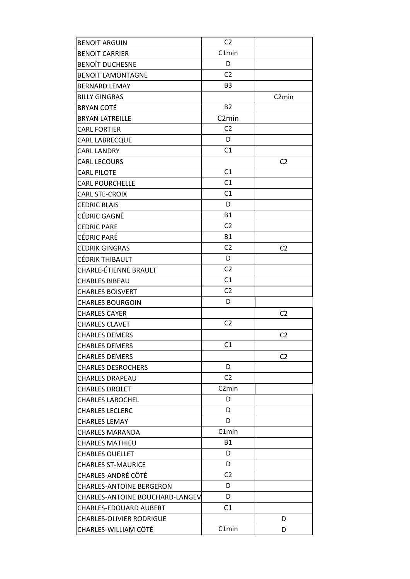| <b>BENOIT ARGUIN</b>            | C <sub>2</sub>     |                    |
|---------------------------------|--------------------|--------------------|
| <b>BENOIT CARRIER</b>           | C1min              |                    |
| <b>BENOIT DUCHESNE</b>          | D                  |                    |
| <b>BENOIT LAMONTAGNE</b>        | C <sub>2</sub>     |                    |
| <b>BERNARD LEMAY</b>            | B <sub>3</sub>     |                    |
| <b>BILLY GINGRAS</b>            |                    | C <sub>2</sub> min |
| <b>BRYAN COTÉ</b>               | <b>B2</b>          |                    |
| <b>BRYAN LATREILLE</b>          | C <sub>2</sub> min |                    |
| <b>CARL FORTIER</b>             | C <sub>2</sub>     |                    |
| CARL LABRECQUE                  | D                  |                    |
| <b>CARL LANDRY</b>              | C1                 |                    |
| <b>CARL LECOURS</b>             |                    | C <sub>2</sub>     |
| <b>CARL PILOTE</b>              | C1                 |                    |
| <b>CARL POURCHELLE</b>          | C1                 |                    |
| <b>CARL STE-CROIX</b>           | C1                 |                    |
| <b>CEDRIC BLAIS</b>             | D                  |                    |
| CÉDRIC GAGNÉ                    | <b>B1</b>          |                    |
| <b>CEDRIC PARE</b>              | C <sub>2</sub>     |                    |
| CÉDRIC PARÉ                     | <b>B1</b>          |                    |
| <b>CEDRIK GINGRAS</b>           | C <sub>2</sub>     | C <sub>2</sub>     |
| CÉDRIK THIBAULT                 | D                  |                    |
| CHARLE-ÉTIENNE BRAULT           | C <sub>2</sub>     |                    |
| <b>CHARLES BIBEAU</b>           | C1                 |                    |
| <b>CHARLES BOISVERT</b>         | C <sub>2</sub>     |                    |
| <b>CHARLES BOURGOIN</b>         | D                  |                    |
| <b>CHARLES CAYER</b>            |                    | C <sub>2</sub>     |
| <b>CHARLES CLAVET</b>           | C <sub>2</sub>     |                    |
| <b>CHARLES DEMERS</b>           |                    | C <sub>2</sub>     |
| <b>CHARLES DEMERS</b>           | C1                 |                    |
| <b>CHARLES DEMERS</b>           |                    | C <sub>2</sub>     |
| <b>CHARLES DESROCHERS</b>       | D                  |                    |
| <b>CHARLES DRAPEAU</b>          | C <sub>2</sub>     |                    |
| <b>CHARLES DROLET</b>           | C <sub>2</sub> min |                    |
| <b>CHARLES LAROCHEL</b>         | D                  |                    |
| <b>CHARLES LECLERC</b>          | D                  |                    |
| <b>CHARLES LEMAY</b>            | D                  |                    |
| <b>CHARLES MARANDA</b>          | C1min              |                    |
| <b>CHARLES MATHIEU</b>          | <b>B1</b>          |                    |
| <b>CHARLES OUELLET</b>          | D                  |                    |
| <b>CHARLES ST-MAURICE</b>       | D                  |                    |
| CHARLES-ANDRÉ CÔTÉ              | C <sub>2</sub>     |                    |
| <b>CHARLES-ANTOINE BERGERON</b> | D                  |                    |
| CHARLES-ANTOINE BOUCHARD-LANGEV | D                  |                    |
| CHARLES-EDOUARD AUBERT          | C1                 |                    |
| <b>CHARLES-OLIVIER RODRIGUE</b> |                    | D                  |
| CHARLES-WILLIAM CÔTÉ            | C1min              | D                  |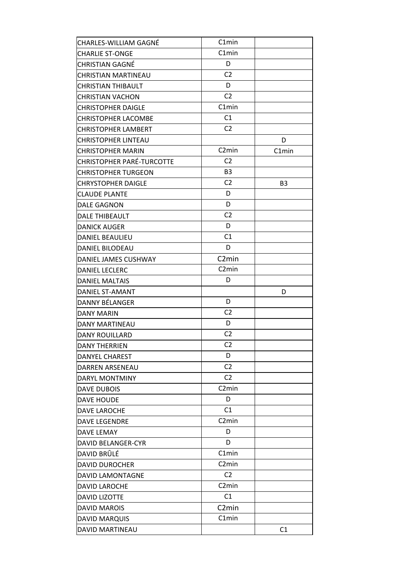| CHARLES-WILLIAM GAGNÉ            | C1min              |           |
|----------------------------------|--------------------|-----------|
| <b>CHARLIE ST-ONGE</b>           | C1min              |           |
| CHRISTIAN GAGNÉ                  | D                  |           |
| CHRISTIAN MARTINEAU              | C <sub>2</sub>     |           |
| <b>CHRISTIAN THIBAULT</b>        | D                  |           |
| <b>CHRISTIAN VACHON</b>          | C <sub>2</sub>     |           |
| <b>CHRISTOPHER DAIGLE</b>        | C1min              |           |
| <b>CHRISTOPHER LACOMBE</b>       | C1                 |           |
| <b>CHRISTOPHER LAMBERT</b>       | C <sub>2</sub>     |           |
| CHRISTOPHER LINTEAU              |                    | D         |
| <b>CHRISTOPHER MARIN</b>         | C <sub>2</sub> min | C1min     |
| <b>CHRISTOPHER PARÉ-TURCOTTE</b> | C <sub>2</sub>     |           |
| <b>CHRISTOPHER TURGEON</b>       | B <sub>3</sub>     |           |
| <b>CHRYSTOPHER DAIGLE</b>        | C <sub>2</sub>     | <b>B3</b> |
| <b>CLAUDE PLANTE</b>             | D                  |           |
| <b>DALE GAGNON</b>               | D                  |           |
| DALE THIBEAULT                   | C <sub>2</sub>     |           |
| <b>DANICK AUGER</b>              | D                  |           |
| <b>DANIEL BEAULIEU</b>           | C1                 |           |
| DANIEL BILODEAU                  | D                  |           |
| DANIEL JAMES CUSHWAY             | C <sub>2</sub> min |           |
| <b>DANIEL LECLERC</b>            | C <sub>2</sub> min |           |
| <b>DANIEL MALTAIS</b>            | D                  |           |
| DANIEL ST-AMANT                  |                    | D         |
| DANNY BÉLANGER                   | D                  |           |
| <b>DANY MARIN</b>                | C <sub>2</sub>     |           |
| DANY MARTINEAU                   | D                  |           |
| <b>DANY ROUILLARD</b>            | C <sub>2</sub>     |           |
| <b>DANY THERRIEN</b>             | C <sub>2</sub>     |           |
| DANYEL CHAREST                   | D                  |           |
| <b>DARREN ARSENEAU</b>           | C <sub>2</sub>     |           |
| DARYL MONTMINY                   | C <sub>2</sub>     |           |
| DAVE DUBOIS                      | C <sub>2</sub> min |           |
| <b>DAVE HOUDE</b>                | D                  |           |
| <b>DAVE LAROCHE</b>              | C <sub>1</sub>     |           |
| <b>DAVE LEGENDRE</b>             | C <sub>2</sub> min |           |
| DAVE LEMAY                       | D                  |           |
| <b>DAVID BELANGER-CYR</b>        | D                  |           |
| DAVID BRÛLÉ                      | C1min              |           |
| <b>DAVID DUROCHER</b>            | C <sub>2</sub> min |           |
| DAVID LAMONTAGNE                 | C <sub>2</sub>     |           |
| <b>DAVID LAROCHE</b>             | C <sub>2</sub> min |           |
| <b>DAVID LIZOTTE</b>             | C1                 |           |
| <b>DAVID MAROIS</b>              | C <sub>2</sub> min |           |
| <b>DAVID MARQUIS</b>             | C1min              |           |
| DAVID MARTINEAU                  |                    | C1        |
|                                  |                    |           |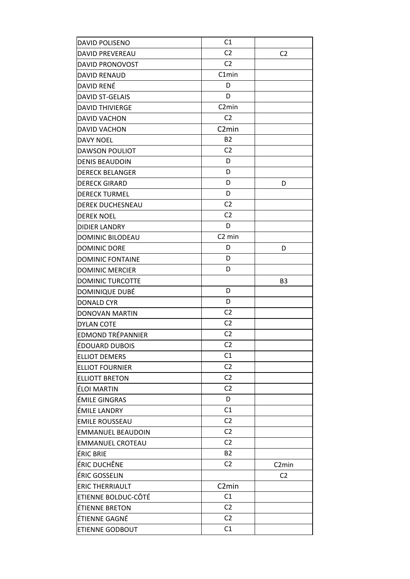| DAVID POLISENO           | C1                 |                    |
|--------------------------|--------------------|--------------------|
| <b>DAVID PREVEREAU</b>   | C <sub>2</sub>     | C <sub>2</sub>     |
| DAVID PRONOVOST          | C <sub>2</sub>     |                    |
| <b>DAVID RENAUD</b>      | C1min              |                    |
| DAVID RENÉ               | D                  |                    |
| <b>DAVID ST-GELAIS</b>   | D                  |                    |
| <b>DAVID THIVIERGE</b>   | C <sub>2</sub> min |                    |
| <b>DAVID VACHON</b>      | C <sub>2</sub>     |                    |
| <b>DAVID VACHON</b>      | C <sub>2</sub> min |                    |
| <b>DAVY NOEL</b>         | <b>B2</b>          |                    |
| <b>DAWSON POULIOT</b>    | C <sub>2</sub>     |                    |
| <b>DENIS BEAUDOIN</b>    | D                  |                    |
| <b>DERECK BELANGER</b>   | D                  |                    |
| <b>DERECK GIRARD</b>     | D                  | D                  |
| <b>DERECK TURMEL</b>     | D                  |                    |
| <b>DEREK DUCHESNEAU</b>  | C <sub>2</sub>     |                    |
| <b>DEREK NOEL</b>        | C <sub>2</sub>     |                    |
| <b>DIDIER LANDRY</b>     | D                  |                    |
| <b>DOMINIC BILODEAU</b>  | C <sub>2</sub> min |                    |
| <b>DOMINIC DORE</b>      | D                  | D                  |
| <b>DOMINIC FONTAINE</b>  | D                  |                    |
| <b>DOMINIC MERCIER</b>   | D                  |                    |
| <b>DOMINIC TURCOTTE</b>  |                    | B <sub>3</sub>     |
| DOMINIQUE DUBÉ           | D                  |                    |
| <b>DONALD CYR</b>        | D                  |                    |
| DONOVAN MARTIN           | C <sub>2</sub>     |                    |
| <b>DYLAN COTE</b>        | C <sub>2</sub>     |                    |
| <b>EDMOND TRÉPANNIER</b> | C <sub>2</sub>     |                    |
| ÉDOUARD DUBOIS           | C <sub>2</sub>     |                    |
| <b>ELLIOT DEMERS</b>     | C <sub>1</sub>     |                    |
| <b>ELLIOT FOURNIER</b>   | C <sub>2</sub>     |                    |
| <b>ELLIOTT BRETON</b>    | C <sub>2</sub>     |                    |
| ÉLOI MARTIN              | C <sub>2</sub>     |                    |
| <b>ÉMILE GINGRAS</b>     | D                  |                    |
| ÉMILE LANDRY             | C1                 |                    |
| <b>EMILE ROUSSEAU</b>    | C <sub>2</sub>     |                    |
| <b>EMMANUEL BEAUDOIN</b> | C <sub>2</sub>     |                    |
| <b>EMMANUEL CROTEAU</b>  | C <sub>2</sub>     |                    |
| <b>ÉRIC BRIE</b>         | <b>B2</b>          |                    |
| ÉRIC DUCHÊNE             | C <sub>2</sub>     | C <sub>2</sub> min |
| ÉRIC GOSSELIN            |                    | C <sub>2</sub>     |
| <b>ERIC THERRIAULT</b>   | C <sub>2</sub> min |                    |
| ETIENNE BOLDUC-CÔTÉ      | C1                 |                    |
| ÉTIENNE BRETON           | C <sub>2</sub>     |                    |
| ÉTIENNE GAGNÉ            | C <sub>2</sub>     |                    |
| ETIENNE GODBOUT          | C1                 |                    |
|                          |                    |                    |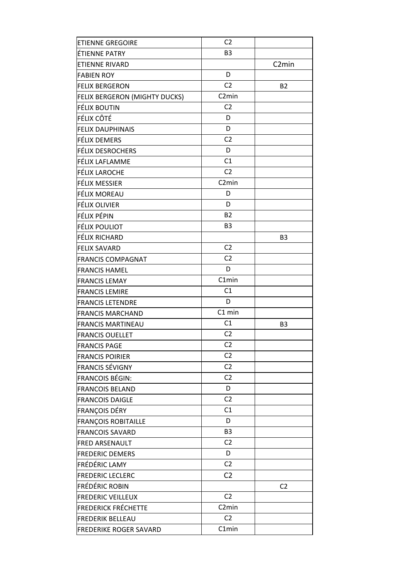| <b>ETIENNE GREGOIRE</b>       | C <sub>2</sub>     |                    |
|-------------------------------|--------------------|--------------------|
| ÉTIENNE PATRY                 | B <sub>3</sub>     |                    |
| <b>ETIENNE RIVARD</b>         |                    | C <sub>2</sub> min |
| <b>FABIEN ROY</b>             | D                  |                    |
| <b>FELIX BERGERON</b>         | C <sub>2</sub>     | <b>B2</b>          |
| FELIX BERGERON (MIGHTY DUCKS) | C <sub>2</sub> min |                    |
| FÉLIX BOUTIN                  | C <sub>2</sub>     |                    |
| FÉLIX CÔTÉ                    | D                  |                    |
| <b>FELIX DAUPHINAIS</b>       | D                  |                    |
| FÉLIX DEMERS                  | C <sub>2</sub>     |                    |
| <b>FÉLIX DESROCHERS</b>       | D                  |                    |
| FÉLIX LAFLAMME                | C1                 |                    |
| <b>FÉLIX LAROCHE</b>          | C <sub>2</sub>     |                    |
| FÉLIX MESSIER                 | C <sub>2</sub> min |                    |
| FÉLIX MOREAU                  | D                  |                    |
| <b>FÉLIX OLIVIER</b>          | D                  |                    |
| FÉLIX PÉPIN                   | <b>B2</b>          |                    |
| <b>FÉLIX POULIOT</b>          | B <sub>3</sub>     |                    |
| FÉLIX RICHARD                 |                    | B <sub>3</sub>     |
| <b>FELIX SAVARD</b>           | C <sub>2</sub>     |                    |
| <b>FRANCIS COMPAGNAT</b>      | C <sub>2</sub>     |                    |
| <b>FRANCIS HAMEL</b>          | D                  |                    |
| <b>FRANCIS LEMAY</b>          | C1min              |                    |
| <b>FRANCIS LEMIRE</b>         | C1                 |                    |
| <b>FRANCIS LETENDRE</b>       | D                  |                    |
| <b>FRANCIS MARCHAND</b>       | C1 min             |                    |
| <b>FRANCIS MARTINEAU</b>      | C1                 | B <sub>3</sub>     |
| <b>FRANCIS OUELLET</b>        | C <sub>2</sub>     |                    |
| <b>FRANCIS PAGE</b>           | C <sub>2</sub>     |                    |
| <b>FRANCIS POIRIER</b>        | C2                 |                    |
| <b>FRANCIS SÉVIGNY</b>        | C <sub>2</sub>     |                    |
| <b>FRANCOIS BÉGIN:</b>        | C <sub>2</sub>     |                    |
| <b>FRANCOIS BELAND</b>        | D                  |                    |
| <b>FRANCOIS DAIGLE</b>        | C <sub>2</sub>     |                    |
| FRANÇOIS DÉRY                 | C1                 |                    |
| <b>FRANÇOIS ROBITAILLE</b>    | D                  |                    |
| <b>FRANCOIS SAVARD</b>        | B <sub>3</sub>     |                    |
| <b>FRED ARSENAULT</b>         | C <sub>2</sub>     |                    |
| <b>FREDERIC DEMERS</b>        | D                  |                    |
| FRÉDÉRIC LAMY                 | C <sub>2</sub>     |                    |
| <b>FREDERIC LECLERC</b>       | C <sub>2</sub>     |                    |
| <b>FRÉDÉRIC ROBIN</b>         |                    | C <sub>2</sub>     |
| <b>FREDERIC VEILLEUX</b>      | C <sub>2</sub>     |                    |
| <b>FREDERICK FRÉCHETTE</b>    | C <sub>2</sub> min |                    |
| <b>FREDERIK BELLEAU</b>       | C <sub>2</sub>     |                    |
| <b>FREDERIKE ROGER SAVARD</b> | C1min              |                    |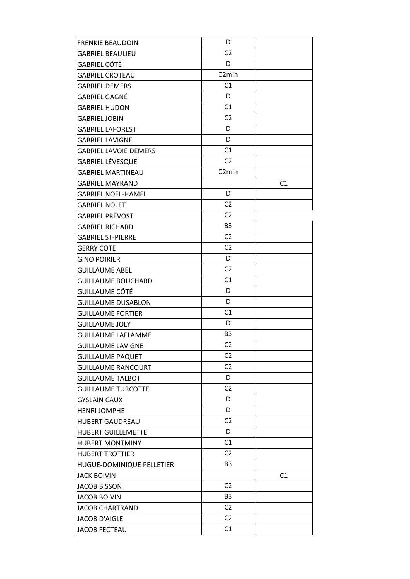| <b>FRENKIE BEAUDOIN</b>      | D                  |    |
|------------------------------|--------------------|----|
| <b>GABRIEL BEAULIEU</b>      | C <sub>2</sub>     |    |
| GABRIEL CÔTÉ                 | D                  |    |
| <b>GABRIEL CROTEAU</b>       | C <sub>2</sub> min |    |
| <b>GABRIEL DEMERS</b>        | C1                 |    |
| GABRIEL GAGNÉ                | D                  |    |
| <b>GABRIEL HUDON</b>         | C1                 |    |
| <b>GABRIEL JOBIN</b>         | C <sub>2</sub>     |    |
| <b>GABRIEL LAFOREST</b>      | D                  |    |
| <b>GABRIEL LAVIGNE</b>       | D                  |    |
| <b>GABRIEL LAVOIE DEMERS</b> | C1                 |    |
| GABRIEL LÉVESQUE             | C <sub>2</sub>     |    |
| <b>GABRIEL MARTINEAU</b>     | C <sub>2</sub> min |    |
| <b>GABRIEL MAYRAND</b>       |                    | C1 |
| <b>GABRIEL NOEL-HAMEL</b>    | D                  |    |
| <b>GABRIEL NOLET</b>         | C <sub>2</sub>     |    |
| GABRIEL PRÉVOST              | C <sub>2</sub>     |    |
| <b>GABRIEL RICHARD</b>       | B <sub>3</sub>     |    |
| <b>GABRIEL ST-PIERRE</b>     | C <sub>2</sub>     |    |
| GERRY COTE                   | C <sub>2</sub>     |    |
| <b>GINO POIRIER</b>          | D                  |    |
| GUILLAUME ABEL               | C <sub>2</sub>     |    |
| <b>GUILLAUME BOUCHARD</b>    | C1                 |    |
| GUILLAUME CÔTÉ               | D                  |    |
| <b>GUILLAUME DUSABLON</b>    | D                  |    |
| <b>GUILLAUME FORTIER</b>     | C1                 |    |
| <b>GUILLAUME JOLY</b>        | D                  |    |
| <b>GUILLAUME LAFLAMME</b>    | B <sub>3</sub>     |    |
| <b>GUILLAUME LAVIGNE</b>     | C <sub>2</sub>     |    |
| <b>GUILLAUME PAQUET</b>      | C <sub>2</sub>     |    |
| <b>GUILLAUME RANCOURT</b>    | C <sub>2</sub>     |    |
| <b>GUILLAUME TALBOT</b>      | D                  |    |
| <b>GUILLAUME TURCOTTE</b>    | C <sub>2</sub>     |    |
| <b>GYSLAIN CAUX</b>          | D                  |    |
| <b>HENRI JOMPHE</b>          | D                  |    |
| <b>HUBERT GAUDREAU</b>       | C <sub>2</sub>     |    |
| <b>HUBERT GUILLEMETTE</b>    | D                  |    |
| <b>HUBERT MONTMINY</b>       | C1                 |    |
| <b>HUBERT TROTTIER</b>       | C <sub>2</sub>     |    |
| HUGUE-DOMINIQUE PELLETIER    | B <sub>3</sub>     |    |
| <b>JACK BOIVIN</b>           |                    | C1 |
| <b>JACOB BISSON</b>          | C <sub>2</sub>     |    |
| <b>JACOB BOIVIN</b>          | B <sub>3</sub>     |    |
| <b>JACOB CHARTRAND</b>       | C <sub>2</sub>     |    |
| <b>JACOB D'AIGLE</b>         | C <sub>2</sub>     |    |
| JACOB FECTEAU                | C1                 |    |
|                              |                    |    |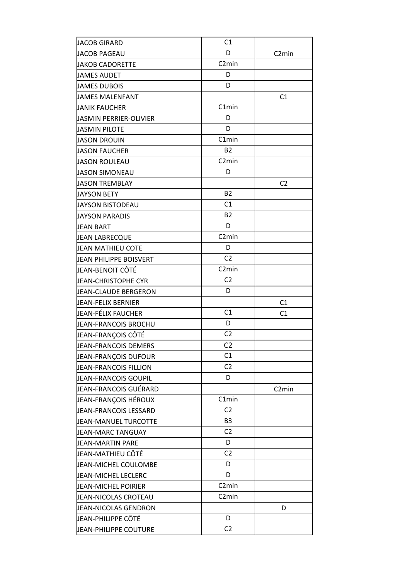| <b>JACOB GIRARD</b>           | C <sub>1</sub>     |                    |
|-------------------------------|--------------------|--------------------|
| <b>JACOB PAGEAU</b>           | D                  | C <sub>2</sub> min |
| <b>JAKOB CADORETTE</b>        | C <sub>2</sub> min |                    |
| <b>JAMES AUDET</b>            | D                  |                    |
| <b>JAMES DUBOIS</b>           | D                  |                    |
| <b>JAMES MALENFANT</b>        |                    | C1                 |
| <b>JANIK FAUCHER</b>          | C1min              |                    |
| <b>JASMIN PERRIER-OLIVIER</b> | D                  |                    |
| <b>JASMIN PILOTE</b>          | D                  |                    |
| <b>JASON DROUIN</b>           | C1min              |                    |
| <b>JASON FAUCHER</b>          | <b>B2</b>          |                    |
| <b>JASON ROULEAU</b>          | C <sub>2</sub> min |                    |
| <b>JASON SIMONEAU</b>         | D                  |                    |
| <b>JASON TREMBLAY</b>         |                    | C <sub>2</sub>     |
| <b>JAYSON BETY</b>            | <b>B2</b>          |                    |
| <b>JAYSON BISTODEAU</b>       | C1                 |                    |
| <b>JAYSON PARADIS</b>         | <b>B2</b>          |                    |
| <b>JEAN BART</b>              | D                  |                    |
| <b>JEAN LABRECQUE</b>         | C <sub>2</sub> min |                    |
| JEAN MATHIEU COTE             | D                  |                    |
| JEAN PHILIPPE BOISVERT        | C <sub>2</sub>     |                    |
| JEAN-BENOIT CÔTÉ              | C <sub>2</sub> min |                    |
| <b>JEAN-CHRISTOPHE CYR</b>    | C <sub>2</sub>     |                    |
| JEAN-CLAUDE BERGERON          | D                  |                    |
| JEAN-FELIX BERNIER            |                    | C1                 |
| JEAN-FÉLIX FAUCHER            | C1                 | C <sub>1</sub>     |
| JEAN-FRANCOIS BROCHU          | D                  |                    |
| JEAN-FRANÇOIS CÔTÉ            | C <sub>2</sub>     |                    |
| JEAN-FRANCOIS DEMERS          | C <sub>2</sub>     |                    |
| JEAN-FRANÇOIS DUFOUR          | C1                 |                    |
| JEAN-FRANCOIS FILLION         | C <sub>2</sub>     |                    |
| JEAN-FRANCOIS GOUPIL          | D                  |                    |
| JEAN-FRANCOIS GUÉRARD         |                    | C <sub>2</sub> min |
| JEAN-FRANÇOIS HÉROUX          | C1min              |                    |
| JEAN-FRANCOIS LESSARD         | C <sub>2</sub>     |                    |
| JEAN-MANUEL TURCOTTE          | B <sub>3</sub>     |                    |
| JEAN-MARC TANGUAY             | C <sub>2</sub>     |                    |
| JEAN-MARTIN PARE              | D                  |                    |
| JEAN-MATHIEU CÔTÉ             | C <sub>2</sub>     |                    |
| JEAN-MICHEL COULOMBE          | D                  |                    |
| JEAN-MICHEL LECLERC           | D                  |                    |
| JEAN-MICHEL POIRIER           | C <sub>2</sub> min |                    |
| JEAN-NICOLAS CROTEAU          | C <sub>2</sub> min |                    |
| JEAN-NICOLAS GENDRON          |                    | D                  |
| JEAN-PHILIPPE CÔTÉ            | D                  |                    |
| <b>JEAN-PHILIPPE COUTURE</b>  | C <sub>2</sub>     |                    |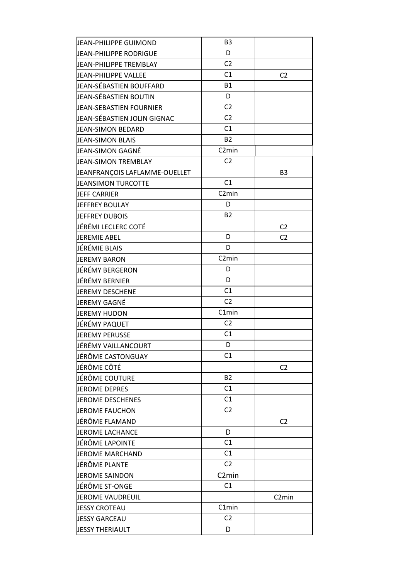| D<br>JEAN-PHILIPPE RODRIGUE<br>C <sub>2</sub><br>JEAN-PHILIPPE TREMBLAY<br>C1<br>JEAN-PHILIPPE VALLEE<br>C <sub>2</sub><br><b>B1</b><br>JEAN-SÉBASTIEN BOUFFARD<br>D<br>JEAN-SÉBASTIEN BOUTIN<br>C <sub>2</sub><br><b>JEAN-SEBASTIEN FOURNIER</b><br>C <sub>2</sub><br>JEAN-SÉBASTIEN JOLIN GIGNAC<br>C1<br><b>JEAN-SIMON BEDARD</b><br><b>B2</b><br><b>JEAN-SIMON BLAIS</b><br>C <sub>2</sub> min<br>JEAN-SIMON GAGNÉ<br>C <sub>2</sub><br><b>JEAN-SIMON TREMBLAY</b><br>JEANFRANÇOIS LAFLAMME-OUELLET<br>B <sub>3</sub><br>C1<br><b>JEANSIMON TURCOTTE</b><br>C <sub>2</sub> min<br><b>JEFF CARRIER</b><br>D<br>JEFFREY BOULAY<br><b>B2</b><br>JEFFREY DUBOIS<br>JÉRÉMI LECLERC COTÉ<br>C <sub>2</sub><br>D<br><b>JEREMIE ABEL</b><br>C <sub>2</sub><br>JÉRÉMIE BLAIS<br>D<br>C <sub>2</sub> min<br>JEREMY BARON<br>JÉRÉMY BERGERON<br>D<br>JÉRÉMY BERNIER<br>D<br>C1<br>JEREMY DESCHENE<br>C <sub>2</sub><br>JEREMY GAGNÉ<br>C1min<br><b>JEREMY HUDON</b><br>JÉRÉMY PAQUET<br>C <sub>2</sub><br>C1<br><b>JEREMY PERUSSE</b><br>JÉRÉMY VAILLANCOURT<br>D<br>C1<br>lJÉRÔME CASTONGUAY<br>JÉRÔME CÔTÉ<br>C <sub>2</sub><br><b>B2</b><br>JÉRÔME COUTURE<br>C <sub>1</sub><br><b>JEROME DEPRES</b><br>C1<br><b>JEROME DESCHENES</b><br>C <sub>2</sub><br><b>JEROME FAUCHON</b><br>JÉRÔME FLAMAND<br>C <sub>2</sub> |
|------------------------------------------------------------------------------------------------------------------------------------------------------------------------------------------------------------------------------------------------------------------------------------------------------------------------------------------------------------------------------------------------------------------------------------------------------------------------------------------------------------------------------------------------------------------------------------------------------------------------------------------------------------------------------------------------------------------------------------------------------------------------------------------------------------------------------------------------------------------------------------------------------------------------------------------------------------------------------------------------------------------------------------------------------------------------------------------------------------------------------------------------------------------------------------------------------------------------------------------------------------------------------------------------------------------|
|                                                                                                                                                                                                                                                                                                                                                                                                                                                                                                                                                                                                                                                                                                                                                                                                                                                                                                                                                                                                                                                                                                                                                                                                                                                                                                                  |
|                                                                                                                                                                                                                                                                                                                                                                                                                                                                                                                                                                                                                                                                                                                                                                                                                                                                                                                                                                                                                                                                                                                                                                                                                                                                                                                  |
|                                                                                                                                                                                                                                                                                                                                                                                                                                                                                                                                                                                                                                                                                                                                                                                                                                                                                                                                                                                                                                                                                                                                                                                                                                                                                                                  |
|                                                                                                                                                                                                                                                                                                                                                                                                                                                                                                                                                                                                                                                                                                                                                                                                                                                                                                                                                                                                                                                                                                                                                                                                                                                                                                                  |
|                                                                                                                                                                                                                                                                                                                                                                                                                                                                                                                                                                                                                                                                                                                                                                                                                                                                                                                                                                                                                                                                                                                                                                                                                                                                                                                  |
|                                                                                                                                                                                                                                                                                                                                                                                                                                                                                                                                                                                                                                                                                                                                                                                                                                                                                                                                                                                                                                                                                                                                                                                                                                                                                                                  |
|                                                                                                                                                                                                                                                                                                                                                                                                                                                                                                                                                                                                                                                                                                                                                                                                                                                                                                                                                                                                                                                                                                                                                                                                                                                                                                                  |
|                                                                                                                                                                                                                                                                                                                                                                                                                                                                                                                                                                                                                                                                                                                                                                                                                                                                                                                                                                                                                                                                                                                                                                                                                                                                                                                  |
|                                                                                                                                                                                                                                                                                                                                                                                                                                                                                                                                                                                                                                                                                                                                                                                                                                                                                                                                                                                                                                                                                                                                                                                                                                                                                                                  |
|                                                                                                                                                                                                                                                                                                                                                                                                                                                                                                                                                                                                                                                                                                                                                                                                                                                                                                                                                                                                                                                                                                                                                                                                                                                                                                                  |
|                                                                                                                                                                                                                                                                                                                                                                                                                                                                                                                                                                                                                                                                                                                                                                                                                                                                                                                                                                                                                                                                                                                                                                                                                                                                                                                  |
|                                                                                                                                                                                                                                                                                                                                                                                                                                                                                                                                                                                                                                                                                                                                                                                                                                                                                                                                                                                                                                                                                                                                                                                                                                                                                                                  |
|                                                                                                                                                                                                                                                                                                                                                                                                                                                                                                                                                                                                                                                                                                                                                                                                                                                                                                                                                                                                                                                                                                                                                                                                                                                                                                                  |
|                                                                                                                                                                                                                                                                                                                                                                                                                                                                                                                                                                                                                                                                                                                                                                                                                                                                                                                                                                                                                                                                                                                                                                                                                                                                                                                  |
|                                                                                                                                                                                                                                                                                                                                                                                                                                                                                                                                                                                                                                                                                                                                                                                                                                                                                                                                                                                                                                                                                                                                                                                                                                                                                                                  |
|                                                                                                                                                                                                                                                                                                                                                                                                                                                                                                                                                                                                                                                                                                                                                                                                                                                                                                                                                                                                                                                                                                                                                                                                                                                                                                                  |
|                                                                                                                                                                                                                                                                                                                                                                                                                                                                                                                                                                                                                                                                                                                                                                                                                                                                                                                                                                                                                                                                                                                                                                                                                                                                                                                  |
|                                                                                                                                                                                                                                                                                                                                                                                                                                                                                                                                                                                                                                                                                                                                                                                                                                                                                                                                                                                                                                                                                                                                                                                                                                                                                                                  |
|                                                                                                                                                                                                                                                                                                                                                                                                                                                                                                                                                                                                                                                                                                                                                                                                                                                                                                                                                                                                                                                                                                                                                                                                                                                                                                                  |
|                                                                                                                                                                                                                                                                                                                                                                                                                                                                                                                                                                                                                                                                                                                                                                                                                                                                                                                                                                                                                                                                                                                                                                                                                                                                                                                  |
|                                                                                                                                                                                                                                                                                                                                                                                                                                                                                                                                                                                                                                                                                                                                                                                                                                                                                                                                                                                                                                                                                                                                                                                                                                                                                                                  |
|                                                                                                                                                                                                                                                                                                                                                                                                                                                                                                                                                                                                                                                                                                                                                                                                                                                                                                                                                                                                                                                                                                                                                                                                                                                                                                                  |
|                                                                                                                                                                                                                                                                                                                                                                                                                                                                                                                                                                                                                                                                                                                                                                                                                                                                                                                                                                                                                                                                                                                                                                                                                                                                                                                  |
|                                                                                                                                                                                                                                                                                                                                                                                                                                                                                                                                                                                                                                                                                                                                                                                                                                                                                                                                                                                                                                                                                                                                                                                                                                                                                                                  |
|                                                                                                                                                                                                                                                                                                                                                                                                                                                                                                                                                                                                                                                                                                                                                                                                                                                                                                                                                                                                                                                                                                                                                                                                                                                                                                                  |
|                                                                                                                                                                                                                                                                                                                                                                                                                                                                                                                                                                                                                                                                                                                                                                                                                                                                                                                                                                                                                                                                                                                                                                                                                                                                                                                  |
|                                                                                                                                                                                                                                                                                                                                                                                                                                                                                                                                                                                                                                                                                                                                                                                                                                                                                                                                                                                                                                                                                                                                                                                                                                                                                                                  |
|                                                                                                                                                                                                                                                                                                                                                                                                                                                                                                                                                                                                                                                                                                                                                                                                                                                                                                                                                                                                                                                                                                                                                                                                                                                                                                                  |
|                                                                                                                                                                                                                                                                                                                                                                                                                                                                                                                                                                                                                                                                                                                                                                                                                                                                                                                                                                                                                                                                                                                                                                                                                                                                                                                  |
|                                                                                                                                                                                                                                                                                                                                                                                                                                                                                                                                                                                                                                                                                                                                                                                                                                                                                                                                                                                                                                                                                                                                                                                                                                                                                                                  |
|                                                                                                                                                                                                                                                                                                                                                                                                                                                                                                                                                                                                                                                                                                                                                                                                                                                                                                                                                                                                                                                                                                                                                                                                                                                                                                                  |
|                                                                                                                                                                                                                                                                                                                                                                                                                                                                                                                                                                                                                                                                                                                                                                                                                                                                                                                                                                                                                                                                                                                                                                                                                                                                                                                  |
|                                                                                                                                                                                                                                                                                                                                                                                                                                                                                                                                                                                                                                                                                                                                                                                                                                                                                                                                                                                                                                                                                                                                                                                                                                                                                                                  |
|                                                                                                                                                                                                                                                                                                                                                                                                                                                                                                                                                                                                                                                                                                                                                                                                                                                                                                                                                                                                                                                                                                                                                                                                                                                                                                                  |
|                                                                                                                                                                                                                                                                                                                                                                                                                                                                                                                                                                                                                                                                                                                                                                                                                                                                                                                                                                                                                                                                                                                                                                                                                                                                                                                  |
| JEROME LACHANCE<br>D                                                                                                                                                                                                                                                                                                                                                                                                                                                                                                                                                                                                                                                                                                                                                                                                                                                                                                                                                                                                                                                                                                                                                                                                                                                                                             |
| C <sub>1</sub><br>JÉRÔME LAPOINTE                                                                                                                                                                                                                                                                                                                                                                                                                                                                                                                                                                                                                                                                                                                                                                                                                                                                                                                                                                                                                                                                                                                                                                                                                                                                                |
| C1<br><b>JEROME MARCHAND</b>                                                                                                                                                                                                                                                                                                                                                                                                                                                                                                                                                                                                                                                                                                                                                                                                                                                                                                                                                                                                                                                                                                                                                                                                                                                                                     |
| C <sub>2</sub><br>JÉRÔME PLANTE                                                                                                                                                                                                                                                                                                                                                                                                                                                                                                                                                                                                                                                                                                                                                                                                                                                                                                                                                                                                                                                                                                                                                                                                                                                                                  |
| C <sub>2</sub> min<br>JEROME SAINDON                                                                                                                                                                                                                                                                                                                                                                                                                                                                                                                                                                                                                                                                                                                                                                                                                                                                                                                                                                                                                                                                                                                                                                                                                                                                             |
| C1<br>JÉRÔME ST-ONGE                                                                                                                                                                                                                                                                                                                                                                                                                                                                                                                                                                                                                                                                                                                                                                                                                                                                                                                                                                                                                                                                                                                                                                                                                                                                                             |
| <b>JEROME VAUDREUIL</b><br>C <sub>2</sub> min                                                                                                                                                                                                                                                                                                                                                                                                                                                                                                                                                                                                                                                                                                                                                                                                                                                                                                                                                                                                                                                                                                                                                                                                                                                                    |
| C1min<br><b>JESSY CROTEAU</b>                                                                                                                                                                                                                                                                                                                                                                                                                                                                                                                                                                                                                                                                                                                                                                                                                                                                                                                                                                                                                                                                                                                                                                                                                                                                                    |
| C <sub>2</sub><br><b>JESSY GARCEAU</b>                                                                                                                                                                                                                                                                                                                                                                                                                                                                                                                                                                                                                                                                                                                                                                                                                                                                                                                                                                                                                                                                                                                                                                                                                                                                           |
| D<br><b>JESSY THERIAULT</b>                                                                                                                                                                                                                                                                                                                                                                                                                                                                                                                                                                                                                                                                                                                                                                                                                                                                                                                                                                                                                                                                                                                                                                                                                                                                                      |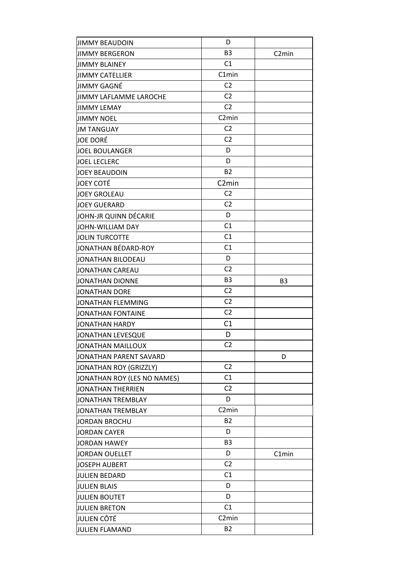| <b>JIMMY BEAUDOIN</b>         | D                  |                    |
|-------------------------------|--------------------|--------------------|
| <b>JIMMY BERGERON</b>         | B <sub>3</sub>     | C <sub>2</sub> min |
| <b>JIMMY BLAINEY</b>          | C1                 |                    |
| <b>JIMMY CATELLIER</b>        | C1min              |                    |
| JIMMY GAGNÉ                   | C <sub>2</sub>     |                    |
| <b>JIMMY LAFLAMME LAROCHE</b> | C <sub>2</sub>     |                    |
| <b>JIMMY LEMAY</b>            | C <sub>2</sub>     |                    |
| <b>JIMMY NOEL</b>             | C <sub>2</sub> min |                    |
| <b>JM TANGUAY</b>             | C <sub>2</sub>     |                    |
| <b>JOE DORÉ</b>               | C <sub>2</sub>     |                    |
| <b>JOEL BOULANGER</b>         | D                  |                    |
| <b>JOEL LECLERC</b>           | D                  |                    |
| <b>JOEY BEAUDOIN</b>          | <b>B2</b>          |                    |
| <b>JOEY COTÉ</b>              | C <sub>2</sub> min |                    |
| <b>JOEY GROLEAU</b>           | C <sub>2</sub>     |                    |
| <b>JOEY GUERARD</b>           | C <sub>2</sub>     |                    |
| JOHN-JR QUINN DÉCARIE         | D                  |                    |
| JOHN-WILLIAM DAY              | C1                 |                    |
| <b>JOLIN TURCOTTE</b>         | C1                 |                    |
| JONATHAN BÉDARD-ROY           | C1                 |                    |
| JONATHAN BILODEAU             | D                  |                    |
| JONATHAN CAREAU               | C <sub>2</sub>     |                    |
| JONATHAN DIONNE               | B <sub>3</sub>     | B <sub>3</sub>     |
| JONATHAN DORE                 | C <sub>2</sub>     |                    |
| JONATHAN FLEMMING             | C <sub>2</sub>     |                    |
| JONATHAN FONTAINE             | C <sub>2</sub>     |                    |
| JONATHAN HARDY                | C <sub>1</sub>     |                    |
| JONATHAN LEVESQUE             | D                  |                    |
| JONATHAN MAILLOUX             | C <sub>2</sub>     |                    |
| JONATHAN PARENT SAVARD        |                    | D                  |
| JONATHAN ROY (GRIZZLY)        | C <sub>2</sub>     |                    |
| JONATHAN ROY (LES NO NAMES)   | C1                 |                    |
| JONATHAN THERRIEN             | C <sub>2</sub>     |                    |
| JONATHAN TREMBLAY             | D                  |                    |
| JONATHAN TREMBLAY             | C <sub>2</sub> min |                    |
| <b>JORDAN BROCHU</b>          | <b>B2</b>          |                    |
| <b>JORDAN CAYER</b>           | D                  |                    |
| <b>JORDAN HAWEY</b>           | B <sub>3</sub>     |                    |
| <b>JORDAN OUELLET</b>         | D                  | C1min              |
| <b>JOSEPH AUBERT</b>          | C <sub>2</sub>     |                    |
| JULIEN BEDARD                 | C1                 |                    |
| <b>JULIEN BLAIS</b>           | D                  |                    |
| <b>JULIEN BOUTET</b>          | D                  |                    |
| <b>JULIEN BRETON</b>          | C1                 |                    |
| JULIEN CÔTÉ                   | C <sub>2</sub> min |                    |
| <b>JULIEN FLAMAND</b>         | <b>B2</b>          |                    |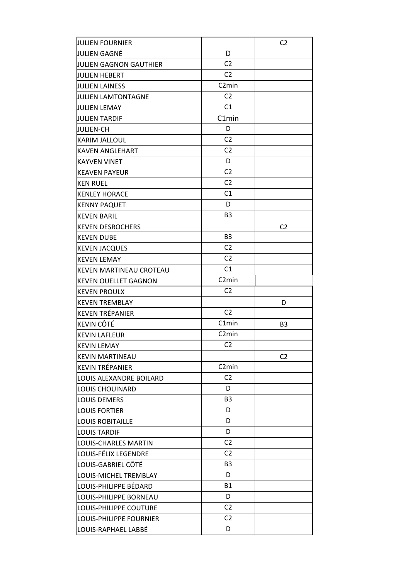| <b>JULIEN FOURNIER</b>      |                    | C <sub>2</sub> |
|-----------------------------|--------------------|----------------|
| JULIEN GAGNÉ                | D                  |                |
| JULIEN GAGNON GAUTHIER      | C <sub>2</sub>     |                |
| <b>JULIEN HEBERT</b>        | C <sub>2</sub>     |                |
| <b>JULIEN LAINESS</b>       | C <sub>2</sub> min |                |
| <b>JULIEN LAMTONTAGNE</b>   | C <sub>2</sub>     |                |
| <b>JULIEN LEMAY</b>         | C1                 |                |
| <b>JULIEN TARDIF</b>        | C1min              |                |
| <b>JULIEN-CH</b>            | D                  |                |
| KARIM JALLOUL               | C <sub>2</sub>     |                |
| <b>KAVEN ANGLEHART</b>      | C <sub>2</sub>     |                |
| <b>KAYVEN VINET</b>         | D                  |                |
| <b>KEAVEN PAYEUR</b>        | C <sub>2</sub>     |                |
| <b>KEN RUEL</b>             | C <sub>2</sub>     |                |
| <b>KENLEY HORACE</b>        | C <sub>1</sub>     |                |
| <b>KENNY PAQUET</b>         | D                  |                |
| <b>KEVEN BARIL</b>          | B <sub>3</sub>     |                |
| <b>KEVEN DESROCHERS</b>     |                    | C <sub>2</sub> |
| <b>KEVEN DUBE</b>           | B <sub>3</sub>     |                |
| <b>KEVEN JACQUES</b>        | C <sub>2</sub>     |                |
| <b>KEVEN LEMAY</b>          | C <sub>2</sub>     |                |
| KEVEN MARTINEAU CROTEAU     | C1                 |                |
| <b>KEVEN OUELLET GAGNON</b> | C <sub>2</sub> min |                |
| <b>KEVEN PROULX</b>         | C <sub>2</sub>     |                |
| <b>KEVEN TREMBLAY</b>       |                    | D              |
| <b>KEVEN TRÉPANIER</b>      | C <sub>2</sub>     |                |
| KEVIN CÔTÉ                  | C1min              | B <sub>3</sub> |
| <b>KEVIN LAFLEUR</b>        | C <sub>2</sub> min |                |
| <b>KEVIN LEMAY</b>          | C <sub>2</sub>     |                |
| <b>KEVIN MARTINEAU</b>      |                    | C <sub>2</sub> |
| <b>KEVIN TRÉPANIER</b>      | C <sub>2</sub> min |                |
| LOUIS ALEXANDRE BOILARD     | C <sub>2</sub>     |                |
| <b>LOUIS CHOUINARD</b>      | D                  |                |
| <b>LOUIS DEMERS</b>         | B <sub>3</sub>     |                |
| <b>LOUIS FORTIER</b>        | D                  |                |
| <b>LOUIS ROBITAILLE</b>     | D                  |                |
| <b>LOUIS TARDIF</b>         | D                  |                |
| LOUIS-CHARLES MARTIN        | C <sub>2</sub>     |                |
| LOUIS-FÉLIX LEGENDRE        | C <sub>2</sub>     |                |
| LOUIS-GABRIEL CÔTÉ          | B <sub>3</sub>     |                |
| LOUIS-MICHEL TREMBLAY       | D                  |                |
| LOUIS-PHILIPPE BÉDARD       | <b>B1</b>          |                |
| LOUIS-PHILIPPE BORNEAU      | D                  |                |
| LOUIS-PHILIPPE COUTURE      | C <sub>2</sub>     |                |
| LOUIS-PHILIPPE FOURNIER     | C <sub>2</sub>     |                |
| LOUIS-RAPHAEL LABBÉ         | D                  |                |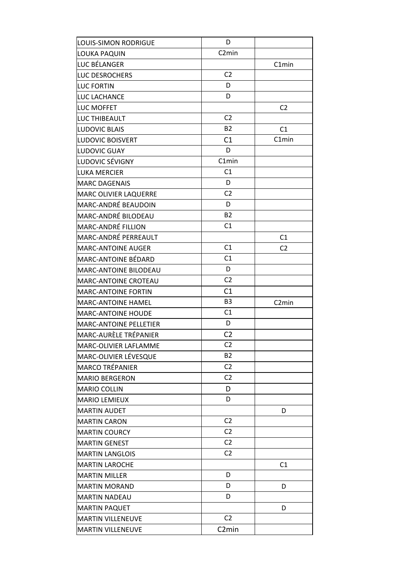| <b>LOUIS-SIMON RODRIGUE</b>   | D                  |                    |
|-------------------------------|--------------------|--------------------|
| LOUKA PAQUIN                  | C <sub>2</sub> min |                    |
| LUC BÉLANGER                  |                    | C1min              |
| LUC DESROCHERS                | C <sub>2</sub>     |                    |
| <b>LUC FORTIN</b>             | D                  |                    |
| LUC LACHANCE                  | D                  |                    |
| LUC MOFFET                    |                    | C <sub>2</sub>     |
| LUC THIBEAULT                 | C <sub>2</sub>     |                    |
| <b>LUDOVIC BLAIS</b>          | <b>B2</b>          | C1                 |
| <b>LUDOVIC BOISVERT</b>       | C1                 | C1min              |
| LUDOVIC GUAY                  | D                  |                    |
| LUDOVIC SÉVIGNY               | C1min              |                    |
| <b>LUKA MERCIER</b>           | C1                 |                    |
| <b>MARC DAGENAIS</b>          | D                  |                    |
| <b>MARC OLIVIER LAQUERRE</b>  | C <sub>2</sub>     |                    |
| <b>MARC-ANDRÉ BEAUDOIN</b>    | D                  |                    |
| <b>MARC-ANDRÉ BILODEAU</b>    | <b>B2</b>          |                    |
| <b>MARC-ANDRÉ FILLION</b>     | C1                 |                    |
| <b>MARC-ANDRÉ PERREAULT</b>   |                    | C1                 |
| <b>MARC-ANTOINE AUGER</b>     | C1                 | C <sub>2</sub>     |
| <b>MARC-ANTOINE BÉDARD</b>    | C1                 |                    |
| <b>MARC-ANTOINE BILODEAU</b>  | D                  |                    |
| <b>MARC-ANTOINE CROTEAU</b>   | C <sub>2</sub>     |                    |
| <b>MARC-ANTOINE FORTIN</b>    | C1                 |                    |
| <b>MARC-ANTOINE HAMEL</b>     | B <sub>3</sub>     | C <sub>2</sub> min |
| <b>MARC-ANTOINE HOUDE</b>     | C1                 |                    |
| <b>MARC-ANTOINE PELLETIER</b> | D                  |                    |
| MARC-AURÈLE TRÉPANIER         | C <sub>2</sub>     |                    |
| MARC-OLIVIER LAFLAMME         | C <sub>2</sub>     |                    |
| MARC-OLIVIER LÉVESQUE         | <b>B2</b>          |                    |
| <b>MARCO TRÉPANIER</b>        | C <sub>2</sub>     |                    |
| <b>MARIO BERGERON</b>         | C <sub>2</sub>     |                    |
| <b>MARIO COLLIN</b>           | D                  |                    |
| <b>MARIO LEMIEUX</b>          | D                  |                    |
| <b>MARTIN AUDET</b>           |                    | D                  |
| <b>MARTIN CARON</b>           | C <sub>2</sub>     |                    |
| <b>MARTIN COURCY</b>          | C <sub>2</sub>     |                    |
| <b>MARTIN GENEST</b>          | C <sub>2</sub>     |                    |
| <b>MARTIN LANGLOIS</b>        | C <sub>2</sub>     |                    |
| <b>MARTIN LAROCHE</b>         |                    | C1                 |
| <b>MARTIN MILLER</b>          | D                  |                    |
| <b>MARTIN MORAND</b>          | D                  | D                  |
| <b>MARTIN NADEAU</b>          | D                  |                    |
| <b>MARTIN PAQUET</b>          |                    | D                  |
| <b>MARTIN VILLENEUVE</b>      | C <sub>2</sub>     |                    |
| <b>MARTIN VILLENEUVE</b>      | C <sub>2</sub> min |                    |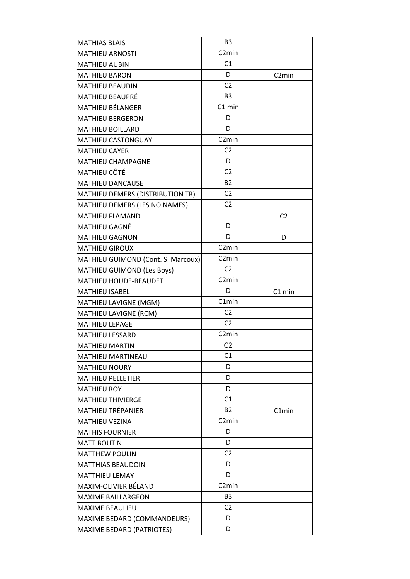| <b>MATHIAS BLAIS</b>               | B <sub>3</sub>     |                    |
|------------------------------------|--------------------|--------------------|
| <b>MATHIEU ARNOSTI</b>             | C <sub>2</sub> min |                    |
| <b>MATHIEU AUBIN</b>               | C1                 |                    |
| <b>MATHIEU BARON</b>               | D                  | C <sub>2</sub> min |
| <b>MATHIEU BEAUDIN</b>             | C <sub>2</sub>     |                    |
| MATHIEU BEAUPRÉ                    | B <sub>3</sub>     |                    |
| MATHIEU BÉLANGER                   | $C1$ min           |                    |
| <b>MATHIEU BERGERON</b>            | D                  |                    |
| <b>MATHIEU BOILLARD</b>            | D                  |                    |
| <b>MATHIEU CASTONGUAY</b>          | C <sub>2</sub> min |                    |
| <b>MATHIEU CAYER</b>               | C <sub>2</sub>     |                    |
| <b>MATHIEU CHAMPAGNE</b>           | D                  |                    |
| MATHIEU CÔTÉ                       | C <sub>2</sub>     |                    |
| <b>MATHIEU DANCAUSE</b>            | <b>B2</b>          |                    |
| MATHIEU DEMERS (DISTRIBUTION TR)   | C <sub>2</sub>     |                    |
| MATHIEU DEMERS (LES NO NAMES)      | C <sub>2</sub>     |                    |
| <b>MATHIEU FLAMAND</b>             |                    | C <sub>2</sub>     |
| MATHIEU GAGNÉ                      | D                  |                    |
| <b>MATHIEU GAGNON</b>              | D                  | D                  |
| <b>MATHIEU GIROUX</b>              | C <sub>2</sub> min |                    |
| MATHIEU GUIMOND (Cont. S. Marcoux) | C <sub>2</sub> min |                    |
| MATHIEU GUIMOND (Les Boys)         | C <sub>2</sub>     |                    |
| MATHIEU HOUDE-BEAUDET              | C <sub>2</sub> min |                    |
| MATHIEU ISABEL                     | D                  | C1 min             |
| MATHIEU LAVIGNE (MGM)              | C1min              |                    |
| MATHIEU LAVIGNE (RCM)              | C <sub>2</sub>     |                    |
| <b>MATHIEU LEPAGE</b>              | C <sub>2</sub>     |                    |
| <b>MATHIEU LESSARD</b>             | C <sub>2</sub> min |                    |
| <b>MATHIEU MARTIN</b>              | C <sub>2</sub>     |                    |
| <b>MATHIEU MARTINEAU</b>           | C1                 |                    |
| <b>MATHIEU NOURY</b>               | D                  |                    |
| <b>MATHIEU PELLETIER</b>           | D                  |                    |
| <b>MATHIEU ROY</b>                 | D                  |                    |
| <b>MATHIEU THIVIERGE</b>           | C1                 |                    |
| <b>MATHIEU TRÉPANIER</b>           | <b>B2</b>          | C1min              |
| <b>MATHIEU VEZINA</b>              | C <sub>2</sub> min |                    |
| <b>MATHIS FOURNIER</b>             | D                  |                    |
| <b>MATT BOUTIN</b>                 | D                  |                    |
| <b>MATTHEW POULIN</b>              | C <sub>2</sub>     |                    |
| <b>MATTHIAS BEAUDOIN</b>           | D                  |                    |
| <b>MATTHIEU LEMAY</b>              | D                  |                    |
| MAXIM-OLIVIER BÉLAND               | C <sub>2</sub> min |                    |
| <b>MAXIME BAILLARGEON</b>          | B <sub>3</sub>     |                    |
| <b>MAXIME BEAULIEU</b>             | C <sub>2</sub>     |                    |
| MAXIME BEDARD (COMMANDEURS)        | D                  |                    |
| MAXIME BEDARD (PATRIOTES)          | D                  |                    |
|                                    |                    |                    |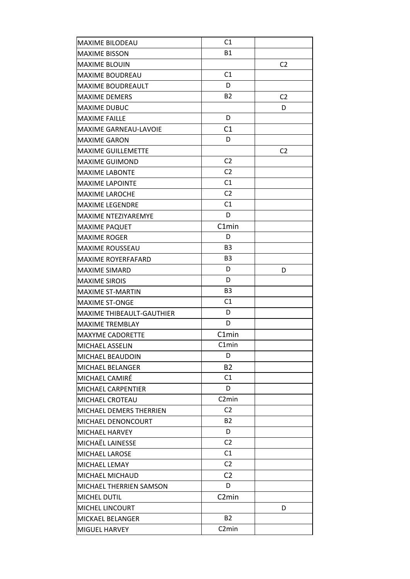| <b>MAXIME BILODEAU</b>       | C <sub>1</sub>      |                |
|------------------------------|---------------------|----------------|
| <b>MAXIME BISSON</b>         | <b>B1</b>           |                |
| <b>MAXIME BLOUIN</b>         |                     | C <sub>2</sub> |
| <b>MAXIME BOUDREAU</b>       | C1                  |                |
| <b>MAXIME BOUDREAULT</b>     | D                   |                |
| <b>MAXIME DEMERS</b>         | <b>B2</b>           | C <sub>2</sub> |
| <b>MAXIME DUBUC</b>          |                     | D              |
| <b>MAXIME FAILLE</b>         | D                   |                |
| <b>MAXIME GARNEAU-LAVOIE</b> | C1                  |                |
| <b>MAXIME GARON</b>          | D                   |                |
| <b>MAXIME GUILLEMETTE</b>    |                     | C <sub>2</sub> |
| <b>MAXIME GUIMOND</b>        | C <sub>2</sub>      |                |
| <b>MAXIME LABONTE</b>        | C <sub>2</sub>      |                |
| <b>MAXIME LAPOINTE</b>       | C1                  |                |
| <b>MAXIME LAROCHE</b>        | C <sub>2</sub>      |                |
| <b>MAXIME LEGENDRE</b>       | C1                  |                |
| MAXIME NTEZIYAREMYE          | D                   |                |
| <b>MAXIME PAQUET</b>         | C1min               |                |
| <b>MAXIME ROGER</b>          | D                   |                |
| <b>MAXIME ROUSSEAU</b>       | B <sub>3</sub>      |                |
| <b>MAXIME ROYERFAFARD</b>    | <b>B3</b>           |                |
| <b>MAXIME SIMARD</b>         | D                   | D              |
| <b>MAXIME SIROIS</b>         | D                   |                |
| <b>MAXIME ST-MARTIN</b>      | B <sub>3</sub>      |                |
| <b>MAXIME ST-ONGE</b>        | C <sub>1</sub>      |                |
| MAXIME THIBEAULT-GAUTHIER    | D                   |                |
| <b>MAXIME TREMBLAY</b>       | D                   |                |
| <b>MAXYME CADORETTE</b>      | C1min               |                |
| MICHAEL ASSELIN              | C1min               |                |
| <b>MICHAEL BEAUDOIN</b>      | D                   |                |
| MICHAEL BELANGER             | <b>B2</b>           |                |
| MICHAEL CAMIRÉ               | C1                  |                |
| <b>MICHAEL CARPENTIER</b>    | D                   |                |
| MICHAEL CROTEAU              | C <sub>2</sub> min  |                |
| MICHAEL DEMERS THERRIEN      | C <sub>2</sub>      |                |
| <b>MICHAEL DENONCOURT</b>    | <b>B2</b>           |                |
| MICHAEL HARVEY               | D                   |                |
| MICHAËL LAINESSE             | C2                  |                |
|                              | C1                  |                |
| MICHAEL LAROSE               | C <sub>2</sub>      |                |
| MICHAEL LEMAY                |                     |                |
| <b>MICHAEL MICHAUD</b>       | C <sub>2</sub><br>D |                |
| MICHAEL THERRIEN SAMSON      |                     |                |
| MICHEL DUTIL                 | C <sub>2</sub> min  |                |
| <b>MICHEL LINCOURT</b>       |                     | D              |
| <b>MICKAEL BELANGER</b>      | <b>B2</b>           |                |
| MIGUEL HARVEY                | C <sub>2</sub> min  |                |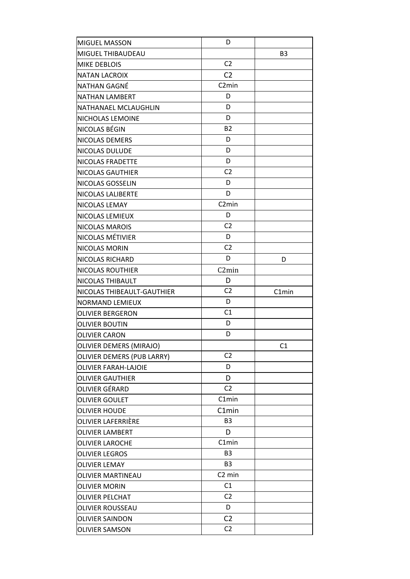| <b>MIGUEL MASSON</b>           | D                  |                |
|--------------------------------|--------------------|----------------|
| MIGUEL THIBAUDEAU              |                    | B <sub>3</sub> |
| <b>MIKE DEBLOIS</b>            | C <sub>2</sub>     |                |
| <b>NATAN LACROIX</b>           | C <sub>2</sub>     |                |
| NATHAN GAGNÉ                   | C <sub>2</sub> min |                |
| NATHAN LAMBERT                 | D                  |                |
| NATHANAEL MCLAUGHLIN           | D                  |                |
| NICHOLAS LEMOINE               | D                  |                |
| NICOLAS BÉGIN                  | <b>B2</b>          |                |
| NICOLAS DEMERS                 | D                  |                |
| NICOLAS DULUDE                 | D                  |                |
| NICOLAS FRADETTE               | D                  |                |
| NICOLAS GAUTHIER               | C <sub>2</sub>     |                |
| NICOLAS GOSSELIN               | D                  |                |
| NICOLAS LALIBERTE              | D                  |                |
| NICOLAS LEMAY                  | C <sub>2</sub> min |                |
| NICOLAS LEMIEUX                | D                  |                |
| NICOLAS MAROIS                 | C <sub>2</sub>     |                |
| NICOLAS MÉTIVIER               | D                  |                |
| NICOLAS MORIN                  | C <sub>2</sub>     |                |
| NICOLAS RICHARD                | D                  | D              |
| <b>NICOLAS ROUTHIER</b>        | C <sub>2</sub> min |                |
| NICOLAS THIBAULT               | D                  |                |
| NICOLAS THIBEAULT-GAUTHIER     | C <sub>2</sub>     | C1min          |
| NORMAND LEMIEUX                | D                  |                |
| <b>OLIVIER BERGERON</b>        | C1                 |                |
| <b>OLIVIER BOUTIN</b>          | D                  |                |
| <b>OLIVIER CARON</b>           | D                  |                |
| <b>OLIVIER DEMERS (MIRAJO)</b> |                    | C1             |
| OLIVIER DEMERS (PUB LARRY)     | C <sub>2</sub>     |                |
| <b>OLIVIER FARAH-LAJOIE</b>    | D                  |                |
| <b>OLIVIER GAUTHIER</b>        | D                  |                |
| OLIVIER GÉRARD                 | C <sub>2</sub>     |                |
| <b>OLIVIER GOULET</b>          | C1min              |                |
| <b>OLIVIER HOUDE</b>           | C1min              |                |
| OLIVIER LAFERRIÈRE             | B <sub>3</sub>     |                |
| <b>OLIVIER LAMBERT</b>         | D                  |                |
| <b>OLIVIER LAROCHE</b>         | C1min              |                |
| <b>OLIVIER LEGROS</b>          | B <sub>3</sub>     |                |
| <b>OLIVIER LEMAY</b>           | B <sub>3</sub>     |                |
| OLIVIER MARTINEAU              | C <sub>2</sub> min |                |
| <b>OLIVIER MORIN</b>           | C1                 |                |
| <b>OLIVIER PELCHAT</b>         | C <sub>2</sub>     |                |
| OLIVIER ROUSSEAU               | D                  |                |
|                                |                    |                |
| <b>OLIVIER SAINDON</b>         | C <sub>2</sub>     |                |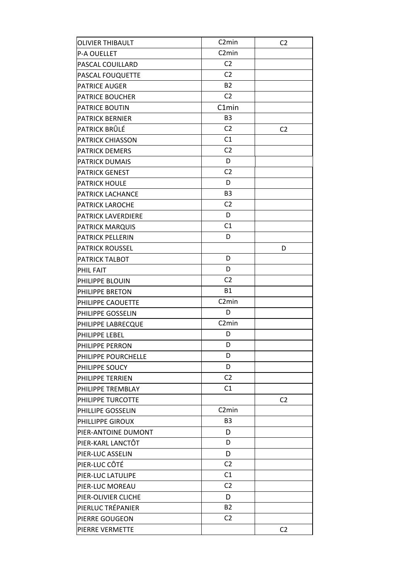| <b>OLIVIER THIBAULT</b>   | C <sub>2</sub> min | C <sub>2</sub> |
|---------------------------|--------------------|----------------|
| <b>P-A OUELLET</b>        | C <sub>2</sub> min |                |
| PASCAL COUILLARD          | C <sub>2</sub>     |                |
| PASCAL FOUQUETTE          | C <sub>2</sub>     |                |
| PATRICE AUGER             | <b>B2</b>          |                |
| <b>PATRICE BOUCHER</b>    | C <sub>2</sub>     |                |
| PATRICE BOUTIN            | C1min              |                |
| <b>PATRICK BERNIER</b>    | B <sub>3</sub>     |                |
| PATRICK BRÛLÉ             | C <sub>2</sub>     | C <sub>2</sub> |
| <b>PATRICK CHIASSON</b>   | C1                 |                |
| PATRICK DEMERS            | C <sub>2</sub>     |                |
| <b>PATRICK DUMAIS</b>     | D                  |                |
| PATRICK GENEST            | C <sub>2</sub>     |                |
| <b>PATRICK HOULE</b>      | D                  |                |
| PATRICK LACHANCE          | B <sub>3</sub>     |                |
| PATRICK LAROCHE           | C <sub>2</sub>     |                |
| <b>PATRICK LAVERDIERE</b> | D                  |                |
| PATRICK MARQUIS           | C1                 |                |
| PATRICK PELLERIN          | D                  |                |
| <b>PATRICK ROUSSEL</b>    |                    | D              |
| PATRICK TALBOT            | D                  |                |
| PHIL FAIT                 | D                  |                |
| PHILIPPE BLOUIN           | C <sub>2</sub>     |                |
| PHILIPPE BRETON           | <b>B1</b>          |                |
| PHILIPPE CAOUETTE         | C <sub>2</sub> min |                |
| PHILIPPE GOSSELIN         | D                  |                |
| PHILIPPE LABRECQUE        | C <sub>2</sub> min |                |
| PHILIPPE LEBEL            | D                  |                |
| PHILIPPE PERRON           | D                  |                |
| PHILIPPE POURCHELLE       | D                  |                |
| PHILIPPE SOUCY            | D                  |                |
| PHILIPPE TERRIEN          | C <sub>2</sub>     |                |
| PHILIPPE TREMBLAY         | C <sub>1</sub>     |                |
| PHILIPPE TURCOTTE         |                    | C <sub>2</sub> |
| PHILLIPE GOSSELIN         | C <sub>2</sub> min |                |
| PHILLIPPE GIROUX          | B <sub>3</sub>     |                |
| PIER-ANTOINE DUMONT       | D                  |                |
| PIER-KARL LANCTÔT         | D                  |                |
| PIER-LUC ASSELIN          | D                  |                |
| PIER-LUC CÔTÉ             | C <sub>2</sub>     |                |
| PIER-LUC LATULIPE         | C1                 |                |
| PIER-LUC MOREAU           | C <sub>2</sub>     |                |
| PIER-OLIVIER CLICHE       | D                  |                |
| PIERLUC TRÉPANIER         | <b>B2</b>          |                |
| PIERRE GOUGEON            | C <sub>2</sub>     |                |
| PIERRE VERMETTE           |                    | C <sub>2</sub> |
|                           |                    |                |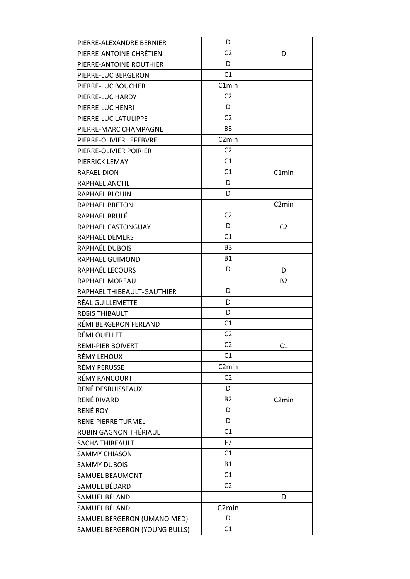| PIERRE-ALEXANDRE BERNIER      | D                  |                    |
|-------------------------------|--------------------|--------------------|
| PIERRE-ANTOINE CHRÉTIEN       | C <sub>2</sub>     | D                  |
| PIERRE-ANTOINE ROUTHIER       | D                  |                    |
| PIERRE-LUC BERGERON           | C1                 |                    |
| PIERRE-LUC BOUCHER            | C1min              |                    |
| PIERRE-LUC HARDY              | C <sub>2</sub>     |                    |
| PIERRE-LUC HENRI              | D                  |                    |
| PIERRE-LUC LATULIPPE          | C <sub>2</sub>     |                    |
| PIERRE-MARC CHAMPAGNE         | B <sub>3</sub>     |                    |
| PIERRE-OLIVIER LEFEBVRE       | C <sub>2</sub> min |                    |
| PIERRE-OLIVIER POIRIER        | C <sub>2</sub>     |                    |
| PIERRICK LEMAY                | C1                 |                    |
| RAFAEL DION                   | C1                 | C1min              |
| RAPHAEL ANCTIL                | D                  |                    |
| RAPHAEL BLOUIN                | D                  |                    |
| <b>RAPHAEL BRETON</b>         |                    | C <sub>2</sub> min |
| RAPHAEL BRULÉ                 | C <sub>2</sub>     |                    |
| RAPHAEL CASTONGUAY            | D                  | C <sub>2</sub>     |
| RAPHAËL DEMERS                | C <sub>1</sub>     |                    |
| RAPHAËL DUBOIS                | B <sub>3</sub>     |                    |
| RAPHAEL GUIMOND               | <b>B1</b>          |                    |
| RAPHAËL LECOURS               | D                  | D                  |
| RAPHAEL MOREAU                |                    | <b>B2</b>          |
| RAPHAEL THIBEAULT-GAUTHIER    | D                  |                    |
| RÉAL GUILLEMETTE              | D                  |                    |
| <b>REGIS THIBAULT</b>         | D                  |                    |
| RÉMI BERGERON FERLAND         | C1                 |                    |
| RÉMI OUELLET                  | C <sub>2</sub>     |                    |
| REMI-PIER BOIVERT             | C <sub>2</sub>     | C1                 |
| RÉMY LEHOUX                   | C1                 |                    |
| RÉMY PERUSSE                  | C <sub>2</sub> min |                    |
| RÉMY RANCOURT                 | C <sub>2</sub>     |                    |
| RENÉ DESRUISSEAUX             | D                  |                    |
| RENÉ RIVARD                   | <b>B2</b>          | C <sub>2</sub> min |
| RENÉ ROY                      | D                  |                    |
| RENÉ-PIERRE TURMEL            | D                  |                    |
| ROBIN GAGNON THÉRIAULT        | C1                 |                    |
| SACHA THIBEAULT               | F7                 |                    |
| <b>SAMMY CHIASON</b>          | C1                 |                    |
| <b>SAMMY DUBOIS</b>           | <b>B1</b>          |                    |
| SAMUEL BEAUMONT               | C1                 |                    |
| SAMUEL BÉDARD                 | C <sub>2</sub>     |                    |
| SAMUEL BÉLAND                 |                    | D                  |
| SAMUEL BÉLAND                 | C <sub>2</sub> min |                    |
| SAMUEL BERGERON (UMANO MED)   | D                  |                    |
| SAMUEL BERGERON (YOUNG BULLS) | C1                 |                    |
|                               |                    |                    |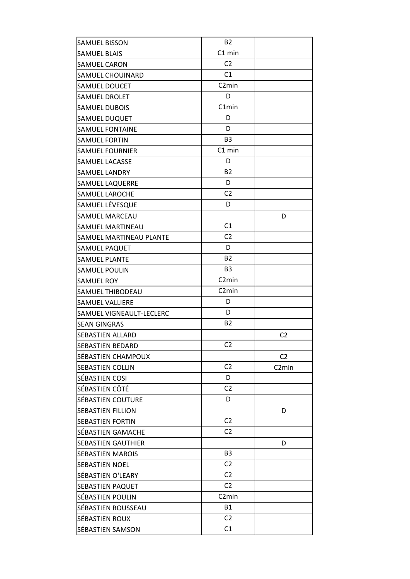| <b>SAMUEL BISSON</b>      | <b>B2</b>          |                    |
|---------------------------|--------------------|--------------------|
| <b>SAMUEL BLAIS</b>       | $C1$ min           |                    |
| <b>SAMUEL CARON</b>       | C <sub>2</sub>     |                    |
| SAMUEL CHOUINARD          | C1                 |                    |
| <b>SAMUEL DOUCET</b>      | C <sub>2</sub> min |                    |
| <b>SAMUEL DROLET</b>      | D                  |                    |
| <b>SAMUEL DUBOIS</b>      | C1min              |                    |
| SAMUEL DUQUET             | D                  |                    |
| <b>SAMUEL FONTAINE</b>    | D                  |                    |
| <b>SAMUEL FORTIN</b>      | B <sub>3</sub>     |                    |
| <b>SAMUEL FOURNIER</b>    | C1 min             |                    |
| <b>SAMUEL LACASSE</b>     | D                  |                    |
| <b>SAMUEL LANDRY</b>      | <b>B2</b>          |                    |
| <b>SAMUEL LAQUERRE</b>    | D                  |                    |
| <b>SAMUEL LAROCHE</b>     | C <sub>2</sub>     |                    |
| SAMUEL LÉVESQUE           | D                  |                    |
| <b>SAMUEL MARCEAU</b>     |                    | D                  |
| <b>SAMUEL MARTINEAU</b>   | C1                 |                    |
| SAMUEL MARTINEAU PLANTE   | C <sub>2</sub>     |                    |
| SAMUEL PAQUET             | D                  |                    |
| <b>SAMUEL PLANTE</b>      | <b>B2</b>          |                    |
| <b>SAMUEL POULIN</b>      | B <sub>3</sub>     |                    |
| <b>SAMUEL ROY</b>         | C <sub>2</sub> min |                    |
| <b>SAMUEL THIBODEAU</b>   | C <sub>2</sub> min |                    |
| <b>SAMUEL VALLIERE</b>    | D                  |                    |
| SAMUEL VIGNEAULT-LECLERC  | D                  |                    |
| <b>SEAN GINGRAS</b>       | <b>B2</b>          |                    |
| <b>SEBASTIEN ALLARD</b>   |                    | C <sub>2</sub>     |
| SEBASTIEN BEDARD          | C <sub>2</sub>     |                    |
| SÉBASTIEN CHAMPOUX        |                    | C <sub>2</sub>     |
| <b>SEBASTIEN COLLIN</b>   | C <sub>2</sub>     | C <sub>2</sub> min |
| SÉBASTIEN COSI            | D                  |                    |
| SÉBASTIEN CÔTÉ            | C <sub>2</sub>     |                    |
| <b>SÉBASTIEN COUTURE</b>  | D                  |                    |
| <b>SEBASTIEN FILLION</b>  |                    | D                  |
| <b>SEBASTIEN FORTIN</b>   | C <sub>2</sub>     |                    |
| SÉBASTIEN GAMACHE         | C <sub>2</sub>     |                    |
| <b>SEBASTIEN GAUTHIER</b> |                    | D                  |
| <b>SEBASTIEN MAROIS</b>   | B <sub>3</sub>     |                    |
| <b>SEBASTIEN NOEL</b>     | C <sub>2</sub>     |                    |
| SÉBASTIEN O'LEARY         | C <sub>2</sub>     |                    |
| <b>SEBASTIEN PAQUET</b>   | C <sub>2</sub>     |                    |
| SÉBASTIEN POULIN          | C <sub>2</sub> min |                    |
| SÉBASTIEN ROUSSEAU        | <b>B1</b>          |                    |
| SÉBASTIEN ROUX            | C <sub>2</sub>     |                    |
| SÉBASTIEN SAMSON          | C1                 |                    |
|                           |                    |                    |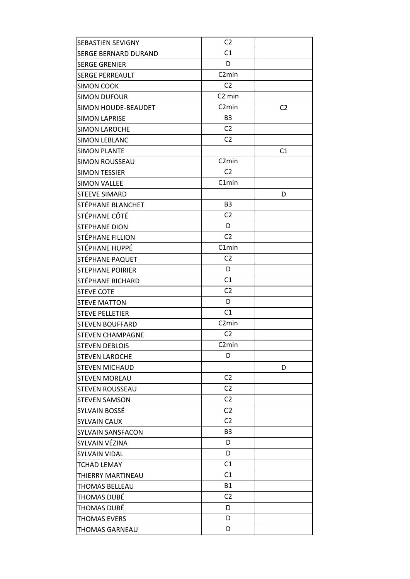| <b>SEBASTIEN SEVIGNY</b>    | C <sub>2</sub>     |                |
|-----------------------------|--------------------|----------------|
| <b>SERGE BERNARD DURAND</b> | C1                 |                |
| <b>SERGE GRENIER</b>        | D                  |                |
| <b>SERGE PERREAULT</b>      | C <sub>2</sub> min |                |
| <b>SIMON COOK</b>           | C <sub>2</sub>     |                |
| <b>SIMON DUFOUR</b>         | C <sub>2</sub> min |                |
| SIMON HOUDE-BEAUDET         | C <sub>2</sub> min | C <sub>2</sub> |
| <b>SIMON LAPRISE</b>        | B <sub>3</sub>     |                |
| <b>SIMON LAROCHE</b>        | C <sub>2</sub>     |                |
| <b>SIMON LEBLANC</b>        | C <sub>2</sub>     |                |
| <b>SIMON PLANTE</b>         |                    | C1             |
| <b>SIMON ROUSSEAU</b>       | C <sub>2</sub> min |                |
| <b>SIMON TESSIER</b>        | C <sub>2</sub>     |                |
| <b>SIMON VALLEE</b>         | C1min              |                |
| <b>STEEVE SIMARD</b>        |                    | D              |
| STÉPHANE BLANCHET           | B <sub>3</sub>     |                |
| STÉPHANE CÔTÉ               | C <sub>2</sub>     |                |
| <b>STEPHANE DION</b>        | D                  |                |
| <b>STÉPHANE FILLION</b>     | C <sub>2</sub>     |                |
| STÉPHANE HUPPÉ              | C1min              |                |
| STÉPHANE PAQUET             | C <sub>2</sub>     |                |
| <b>STEPHANE POIRIER</b>     | D                  |                |
| STÉPHANE RICHARD            | C1                 |                |
| <b>STEVE COTE</b>           | C <sub>2</sub>     |                |
| <b>STEVE MATTON</b>         | D                  |                |
| <b>STEVE PELLETIER</b>      | C1                 |                |
| <b>STEVEN BOUFFARD</b>      | C <sub>2</sub> min |                |
| <b>STEVEN CHAMPAGNE</b>     | C <sub>2</sub>     |                |
| <b>STEVEN DEBLOIS</b>       | C <sub>2</sub> min |                |
| <b>STEVEN LAROCHE</b>       | D                  |                |
| <b>STEVEN MICHAUD</b>       |                    | D              |
| <b>STEVEN MOREAU</b>        | C <sub>2</sub>     |                |
| <b>STEVEN ROUSSEAU</b>      | C <sub>2</sub>     |                |
| <b>STEVEN SAMSON</b>        | C <sub>2</sub>     |                |
| SYLVAIN BOSSÉ               | C <sub>2</sub>     |                |
| <b>SYLVAIN CAUX</b>         | C <sub>2</sub>     |                |
| <b>SYLVAIN SANSFACON</b>    | B <sub>3</sub>     |                |
| SYLVAIN VÉZINA              | D                  |                |
| <b>SYLVAIN VIDAL</b>        | D                  |                |
| <b>TCHAD LEMAY</b>          | C1                 |                |
| THIERRY MARTINEAU           | C <sub>1</sub>     |                |
| THOMAS BELLEAU              | <b>B1</b>          |                |
| THOMAS DUBÉ                 | C2                 |                |
| THOMAS DUBÉ                 | D                  |                |
| <b>THOMAS EVERS</b>         | D                  |                |
| <b>THOMAS GARNEAU</b>       | D                  |                |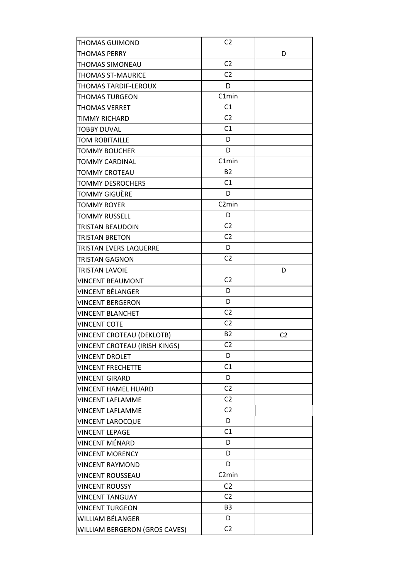| <b>THOMAS PERRY</b><br>D<br>C <sub>2</sub><br>THOMAS SIMONEAU<br>C <sub>2</sub><br>THOMAS ST-MAURICE<br>D<br>THOMAS TARDIF-LEROUX<br>C1min<br><b>THOMAS TURGEON</b><br>C1<br>THOMAS VERRET<br>C <sub>2</sub><br><b>TIMMY RICHARD</b><br>C1<br><b>TOBBY DUVAL</b><br>D<br><b>TOM ROBITAILLE</b><br>D<br><b>TOMMY BOUCHER</b><br>C1min<br>TOMMY CARDINAL<br><b>B2</b><br>TOMMY CROTEAU<br>C1<br><b>TOMMY DESROCHERS</b><br>D<br>TOMMY GIGUÈRE<br>C <sub>2</sub> min<br><b>TOMMY ROYER</b><br>D<br><b>TOMMY RUSSELL</b><br>C <sub>2</sub><br>TRISTAN BEAUDOIN<br>C <sub>2</sub><br><b>TRISTAN BRETON</b><br>D<br><b>TRISTAN EVERS LAQUERRE</b><br>C <sub>2</sub><br><b>TRISTAN GAGNON</b><br>TRISTAN LAVOIE<br>D<br>C <sub>2</sub><br><b>VINCENT BEAUMONT</b><br><b>VINCENT BÉLANGER</b><br>D<br>D<br><b>VINCENT BERGERON</b><br>C <sub>2</sub><br><b>VINCENT BLANCHET</b><br>C <sub>2</sub><br><b>VINCENT COTE</b><br><b>B2</b><br>VINCENT CROTEAU (DEKLOTB)<br>C <sub>2</sub><br>C <sub>2</sub><br>VINCENT CROTEAU (IRISH KINGS)<br>D<br><b>VINCENT DROLET</b><br>C1<br><b>VINCENT FRECHETTE</b><br>D<br><b>VINCENT GIRARD</b><br>C <sub>2</sub><br><b>VINCENT HAMEL HUARD</b><br>C <sub>2</sub><br><b>VINCENT LAFLAMME</b><br>C <sub>2</sub><br><b>VINCENT LAFLAMME</b><br>D<br><b>VINCENT LAROCQUE</b><br>C1<br><b>VINCENT LEPAGE</b><br>D<br>VINCENT MÉNARD<br>D<br><b>VINCENT MORENCY</b><br>D<br><b>VINCENT RAYMOND</b><br>C <sub>2</sub> min<br><b>VINCENT ROUSSEAU</b><br>C <sub>2</sub><br><b>VINCENT ROUSSY</b><br>C <sub>2</sub><br><b>VINCENT TANGUAY</b><br>B <sub>3</sub><br><b>VINCENT TURGEON</b><br>D<br>WILLIAM BÉLANGER<br>C <sub>2</sub><br>WILLIAM BERGERON (GROS CAVES) | THOMAS GUIMOND | C <sub>2</sub> |  |
|---------------------------------------------------------------------------------------------------------------------------------------------------------------------------------------------------------------------------------------------------------------------------------------------------------------------------------------------------------------------------------------------------------------------------------------------------------------------------------------------------------------------------------------------------------------------------------------------------------------------------------------------------------------------------------------------------------------------------------------------------------------------------------------------------------------------------------------------------------------------------------------------------------------------------------------------------------------------------------------------------------------------------------------------------------------------------------------------------------------------------------------------------------------------------------------------------------------------------------------------------------------------------------------------------------------------------------------------------------------------------------------------------------------------------------------------------------------------------------------------------------------------------------------------------------------------------------------------------------------------------------------------------------------------------------------------|----------------|----------------|--|
|                                                                                                                                                                                                                                                                                                                                                                                                                                                                                                                                                                                                                                                                                                                                                                                                                                                                                                                                                                                                                                                                                                                                                                                                                                                                                                                                                                                                                                                                                                                                                                                                                                                                                             |                |                |  |
|                                                                                                                                                                                                                                                                                                                                                                                                                                                                                                                                                                                                                                                                                                                                                                                                                                                                                                                                                                                                                                                                                                                                                                                                                                                                                                                                                                                                                                                                                                                                                                                                                                                                                             |                |                |  |
|                                                                                                                                                                                                                                                                                                                                                                                                                                                                                                                                                                                                                                                                                                                                                                                                                                                                                                                                                                                                                                                                                                                                                                                                                                                                                                                                                                                                                                                                                                                                                                                                                                                                                             |                |                |  |
|                                                                                                                                                                                                                                                                                                                                                                                                                                                                                                                                                                                                                                                                                                                                                                                                                                                                                                                                                                                                                                                                                                                                                                                                                                                                                                                                                                                                                                                                                                                                                                                                                                                                                             |                |                |  |
|                                                                                                                                                                                                                                                                                                                                                                                                                                                                                                                                                                                                                                                                                                                                                                                                                                                                                                                                                                                                                                                                                                                                                                                                                                                                                                                                                                                                                                                                                                                                                                                                                                                                                             |                |                |  |
|                                                                                                                                                                                                                                                                                                                                                                                                                                                                                                                                                                                                                                                                                                                                                                                                                                                                                                                                                                                                                                                                                                                                                                                                                                                                                                                                                                                                                                                                                                                                                                                                                                                                                             |                |                |  |
|                                                                                                                                                                                                                                                                                                                                                                                                                                                                                                                                                                                                                                                                                                                                                                                                                                                                                                                                                                                                                                                                                                                                                                                                                                                                                                                                                                                                                                                                                                                                                                                                                                                                                             |                |                |  |
|                                                                                                                                                                                                                                                                                                                                                                                                                                                                                                                                                                                                                                                                                                                                                                                                                                                                                                                                                                                                                                                                                                                                                                                                                                                                                                                                                                                                                                                                                                                                                                                                                                                                                             |                |                |  |
|                                                                                                                                                                                                                                                                                                                                                                                                                                                                                                                                                                                                                                                                                                                                                                                                                                                                                                                                                                                                                                                                                                                                                                                                                                                                                                                                                                                                                                                                                                                                                                                                                                                                                             |                |                |  |
|                                                                                                                                                                                                                                                                                                                                                                                                                                                                                                                                                                                                                                                                                                                                                                                                                                                                                                                                                                                                                                                                                                                                                                                                                                                                                                                                                                                                                                                                                                                                                                                                                                                                                             |                |                |  |
|                                                                                                                                                                                                                                                                                                                                                                                                                                                                                                                                                                                                                                                                                                                                                                                                                                                                                                                                                                                                                                                                                                                                                                                                                                                                                                                                                                                                                                                                                                                                                                                                                                                                                             |                |                |  |
|                                                                                                                                                                                                                                                                                                                                                                                                                                                                                                                                                                                                                                                                                                                                                                                                                                                                                                                                                                                                                                                                                                                                                                                                                                                                                                                                                                                                                                                                                                                                                                                                                                                                                             |                |                |  |
|                                                                                                                                                                                                                                                                                                                                                                                                                                                                                                                                                                                                                                                                                                                                                                                                                                                                                                                                                                                                                                                                                                                                                                                                                                                                                                                                                                                                                                                                                                                                                                                                                                                                                             |                |                |  |
|                                                                                                                                                                                                                                                                                                                                                                                                                                                                                                                                                                                                                                                                                                                                                                                                                                                                                                                                                                                                                                                                                                                                                                                                                                                                                                                                                                                                                                                                                                                                                                                                                                                                                             |                |                |  |
|                                                                                                                                                                                                                                                                                                                                                                                                                                                                                                                                                                                                                                                                                                                                                                                                                                                                                                                                                                                                                                                                                                                                                                                                                                                                                                                                                                                                                                                                                                                                                                                                                                                                                             |                |                |  |
|                                                                                                                                                                                                                                                                                                                                                                                                                                                                                                                                                                                                                                                                                                                                                                                                                                                                                                                                                                                                                                                                                                                                                                                                                                                                                                                                                                                                                                                                                                                                                                                                                                                                                             |                |                |  |
|                                                                                                                                                                                                                                                                                                                                                                                                                                                                                                                                                                                                                                                                                                                                                                                                                                                                                                                                                                                                                                                                                                                                                                                                                                                                                                                                                                                                                                                                                                                                                                                                                                                                                             |                |                |  |
|                                                                                                                                                                                                                                                                                                                                                                                                                                                                                                                                                                                                                                                                                                                                                                                                                                                                                                                                                                                                                                                                                                                                                                                                                                                                                                                                                                                                                                                                                                                                                                                                                                                                                             |                |                |  |
|                                                                                                                                                                                                                                                                                                                                                                                                                                                                                                                                                                                                                                                                                                                                                                                                                                                                                                                                                                                                                                                                                                                                                                                                                                                                                                                                                                                                                                                                                                                                                                                                                                                                                             |                |                |  |
|                                                                                                                                                                                                                                                                                                                                                                                                                                                                                                                                                                                                                                                                                                                                                                                                                                                                                                                                                                                                                                                                                                                                                                                                                                                                                                                                                                                                                                                                                                                                                                                                                                                                                             |                |                |  |
|                                                                                                                                                                                                                                                                                                                                                                                                                                                                                                                                                                                                                                                                                                                                                                                                                                                                                                                                                                                                                                                                                                                                                                                                                                                                                                                                                                                                                                                                                                                                                                                                                                                                                             |                |                |  |
|                                                                                                                                                                                                                                                                                                                                                                                                                                                                                                                                                                                                                                                                                                                                                                                                                                                                                                                                                                                                                                                                                                                                                                                                                                                                                                                                                                                                                                                                                                                                                                                                                                                                                             |                |                |  |
|                                                                                                                                                                                                                                                                                                                                                                                                                                                                                                                                                                                                                                                                                                                                                                                                                                                                                                                                                                                                                                                                                                                                                                                                                                                                                                                                                                                                                                                                                                                                                                                                                                                                                             |                |                |  |
|                                                                                                                                                                                                                                                                                                                                                                                                                                                                                                                                                                                                                                                                                                                                                                                                                                                                                                                                                                                                                                                                                                                                                                                                                                                                                                                                                                                                                                                                                                                                                                                                                                                                                             |                |                |  |
|                                                                                                                                                                                                                                                                                                                                                                                                                                                                                                                                                                                                                                                                                                                                                                                                                                                                                                                                                                                                                                                                                                                                                                                                                                                                                                                                                                                                                                                                                                                                                                                                                                                                                             |                |                |  |
|                                                                                                                                                                                                                                                                                                                                                                                                                                                                                                                                                                                                                                                                                                                                                                                                                                                                                                                                                                                                                                                                                                                                                                                                                                                                                                                                                                                                                                                                                                                                                                                                                                                                                             |                |                |  |
|                                                                                                                                                                                                                                                                                                                                                                                                                                                                                                                                                                                                                                                                                                                                                                                                                                                                                                                                                                                                                                                                                                                                                                                                                                                                                                                                                                                                                                                                                                                                                                                                                                                                                             |                |                |  |
|                                                                                                                                                                                                                                                                                                                                                                                                                                                                                                                                                                                                                                                                                                                                                                                                                                                                                                                                                                                                                                                                                                                                                                                                                                                                                                                                                                                                                                                                                                                                                                                                                                                                                             |                |                |  |
|                                                                                                                                                                                                                                                                                                                                                                                                                                                                                                                                                                                                                                                                                                                                                                                                                                                                                                                                                                                                                                                                                                                                                                                                                                                                                                                                                                                                                                                                                                                                                                                                                                                                                             |                |                |  |
|                                                                                                                                                                                                                                                                                                                                                                                                                                                                                                                                                                                                                                                                                                                                                                                                                                                                                                                                                                                                                                                                                                                                                                                                                                                                                                                                                                                                                                                                                                                                                                                                                                                                                             |                |                |  |
|                                                                                                                                                                                                                                                                                                                                                                                                                                                                                                                                                                                                                                                                                                                                                                                                                                                                                                                                                                                                                                                                                                                                                                                                                                                                                                                                                                                                                                                                                                                                                                                                                                                                                             |                |                |  |
|                                                                                                                                                                                                                                                                                                                                                                                                                                                                                                                                                                                                                                                                                                                                                                                                                                                                                                                                                                                                                                                                                                                                                                                                                                                                                                                                                                                                                                                                                                                                                                                                                                                                                             |                |                |  |
|                                                                                                                                                                                                                                                                                                                                                                                                                                                                                                                                                                                                                                                                                                                                                                                                                                                                                                                                                                                                                                                                                                                                                                                                                                                                                                                                                                                                                                                                                                                                                                                                                                                                                             |                |                |  |
|                                                                                                                                                                                                                                                                                                                                                                                                                                                                                                                                                                                                                                                                                                                                                                                                                                                                                                                                                                                                                                                                                                                                                                                                                                                                                                                                                                                                                                                                                                                                                                                                                                                                                             |                |                |  |
|                                                                                                                                                                                                                                                                                                                                                                                                                                                                                                                                                                                                                                                                                                                                                                                                                                                                                                                                                                                                                                                                                                                                                                                                                                                                                                                                                                                                                                                                                                                                                                                                                                                                                             |                |                |  |
|                                                                                                                                                                                                                                                                                                                                                                                                                                                                                                                                                                                                                                                                                                                                                                                                                                                                                                                                                                                                                                                                                                                                                                                                                                                                                                                                                                                                                                                                                                                                                                                                                                                                                             |                |                |  |
|                                                                                                                                                                                                                                                                                                                                                                                                                                                                                                                                                                                                                                                                                                                                                                                                                                                                                                                                                                                                                                                                                                                                                                                                                                                                                                                                                                                                                                                                                                                                                                                                                                                                                             |                |                |  |
|                                                                                                                                                                                                                                                                                                                                                                                                                                                                                                                                                                                                                                                                                                                                                                                                                                                                                                                                                                                                                                                                                                                                                                                                                                                                                                                                                                                                                                                                                                                                                                                                                                                                                             |                |                |  |
|                                                                                                                                                                                                                                                                                                                                                                                                                                                                                                                                                                                                                                                                                                                                                                                                                                                                                                                                                                                                                                                                                                                                                                                                                                                                                                                                                                                                                                                                                                                                                                                                                                                                                             |                |                |  |
|                                                                                                                                                                                                                                                                                                                                                                                                                                                                                                                                                                                                                                                                                                                                                                                                                                                                                                                                                                                                                                                                                                                                                                                                                                                                                                                                                                                                                                                                                                                                                                                                                                                                                             |                |                |  |
|                                                                                                                                                                                                                                                                                                                                                                                                                                                                                                                                                                                                                                                                                                                                                                                                                                                                                                                                                                                                                                                                                                                                                                                                                                                                                                                                                                                                                                                                                                                                                                                                                                                                                             |                |                |  |
|                                                                                                                                                                                                                                                                                                                                                                                                                                                                                                                                                                                                                                                                                                                                                                                                                                                                                                                                                                                                                                                                                                                                                                                                                                                                                                                                                                                                                                                                                                                                                                                                                                                                                             |                |                |  |
|                                                                                                                                                                                                                                                                                                                                                                                                                                                                                                                                                                                                                                                                                                                                                                                                                                                                                                                                                                                                                                                                                                                                                                                                                                                                                                                                                                                                                                                                                                                                                                                                                                                                                             |                |                |  |
|                                                                                                                                                                                                                                                                                                                                                                                                                                                                                                                                                                                                                                                                                                                                                                                                                                                                                                                                                                                                                                                                                                                                                                                                                                                                                                                                                                                                                                                                                                                                                                                                                                                                                             |                |                |  |
|                                                                                                                                                                                                                                                                                                                                                                                                                                                                                                                                                                                                                                                                                                                                                                                                                                                                                                                                                                                                                                                                                                                                                                                                                                                                                                                                                                                                                                                                                                                                                                                                                                                                                             |                |                |  |